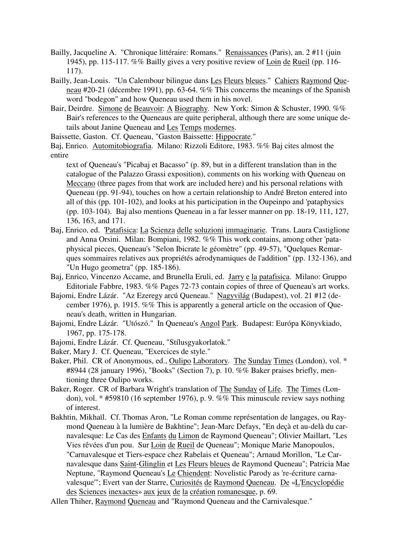- Bailly, Jacqueline A. "Chronique littéraire: Romans." Renaissances (Paris), an. 2 #11 (juin 1945), pp. 115-117. %% Bailly gives a very positive review of Loin de Rueil (pp. 116- 117).
- Bailly, Jean-Louis. "Un Calembour bilingue dans Les Fleurs bleues." Cahiers Raymond Queneau #20-21 (décembre 1991), pp. 63-64. %% This concerns the meanings of the Spanish word "bodegon" and how Queneau used them in his novel.
- Bair, Deirdre. Simone de Beauvoir: A Biography. New York: Simon & Schuster, 1990. %% Bair's references to the Queneaus are quite peripheral, although there are some unique details about Janine Queneau and Les Temps modernes.

Baissette, Gaston. Cf. Queneau, "Gaston Baissette: Hippocrate."

Baj, Enrico. Automitobiografia. Milano: Rizzoli Editore, 1983. %% Baj cites almost the entire

text of Queneau's "Picabaj et Bacasso" (p. 89, but in a different translation than in the catalogue of the Palazzo Grassi exposition), comments on his working with Queneau on Meccano (three pages from that work are included here) and his personal relations with Queneau (pp. 91-94), touches on how a certain relationship to André Breton entered into all of this (pp. 101-102), and looks at his participation in the Oupeinpo and 'pataphysics (pp. 103-104). Baj also mentions Queneau in a far lesser manner on pp. 18-19, 111, 127, 136, 163, and 171.

- Baj, Enrico, ed. 'Patafisica: La Scienza delle soluzioni immaginarie. Trans. Laura Castiglione and Anna Orsini. Milan: Bompiani, 1982. %% This work contains, among other 'pataphysical pieces, Queneau's "Selon Ibicrate le géomètre" (pp. 49-57), "Quelques Remarques sommaires relatives aux propriétés aérodynamiques de l'addition" (pp. 132-136), and "Un Hugo geometra" (pp. 185-186).
- Baj, Enrico, Vincenzo Accame, and Brunella Eruli, ed. Jarry e la patafisica. Milano: Gruppo Editoriale Fabbre, 1983. %% Pages 72-73 contain copies of three of Queneau's art works.
- Bajomi, Endre Lázár. "Az Ezeregy arcú Queneau." Nagyvilág (Budapest), vol. 21 #12 (december 1976), p. 1915. %% This is apparently a general article on the occasion of Queneau's death, written in Hungarian.
- Bajomi, Endre Lázár. "Utószó." In Queneau's Angol Park. Budapest: Európa Könyvkiado, 1967, pp. 175-178.
- Bajomi, Endre Lázár. Cf. Queneau, "Stílusgyakorlatok."
- Baker, Mary J. Cf. Queneau, "Exercices de style."
- Baker, Phil. CR of Anonymous, ed., Oulipo Laboratory. The Sunday Times (London), vol. \* #8944 (28 january 1996), "Books" (Section 7), p. 10. %% Baker praises briefly, mentioning three Oulipo works.
- Baker, Roger. CR of Barbara Wright's translation of The Sunday of Life. The Times (London), vol. \* #59810 (16 september 1976), p. 9. %% This minuscule review says nothing of interest.
- Bakhtin, Mikhaïl. Cf. Thomas Aron, "Le Roman comme représentation de langages, ou Raymond Queneau à la lumière de Bakhtine"; Jean-Marc Defays, "En deçà et au-delà du carnavalesque: Le Cas des Enfants du Limon de Raymond Queneau"; Olivier Maillart, "Les Vies rêvées d'un pou. Sur Loin de Rueil de Queneau"; Monique Marie Manopoulos, "Carnavalesque et Tiers-espace chez Rabelais et Queneau"; Arnaud Morillon, "Le Carnavalesque dans Saint-Glinglin et Les Fleurs bleues de Raymond Queneau"; Patricia Mae Neptune, "Raymond Queneau's Le Chiendent: Novelistic Parody as 're-écriture carnavalesque'"; Evert van der Starre, Curiosités de Raymond Queneau. De «L'Encyclopédie des Sciences inexactes» aux jeux de la création romanesque, p. 69.

Allen Thiher, Raymond Queneau and "Raymond Queneau and the Carnivalesque."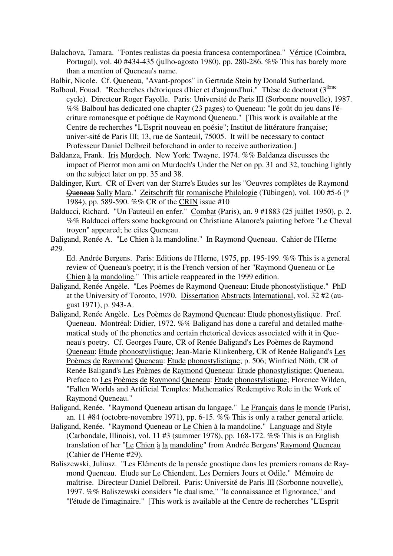- Balachova, Tamara. "Fontes realistas da poesia francesa contemporânea." Vértice (Coimbra, Portugal), vol. 40 #434-435 (julho-agosto 1980), pp. 280-286. %% This has barely more than a mention of Queneau's name.
- Balbir, Nicole. Cf. Queneau, "Avant-propos" in Gertrude Stein by Donald Sutherland.
- Balboul, Fouad. "Recherches rhétoriques d'hier et d'aujourd'hui." Thèse de doctorat (3<sup>ième</sup>) cycle). Directeur Roger Fayolle. Paris: Université de Paris III (Sorbonne nouvelle), 1987. %% Balboul has dedicated one chapter (23 pages) to Queneau: "le goût du jeu dans l'écriture romanesque et poétique de Raymond Queneau." [This work is available at the Centre de recherches "L'Esprit nouveau en poésie"; Institut de littérature française; univer-sité de Paris III; 13, rue de Santeuil, 75005. It will be necessary to contact Professeur Daniel Delbreil beforehand in order to receive authorization.]
- Baldanza, Frank. Iris Murdoch. New York: Twayne, 1974. %% Baldanza discusses the impact of Pierrot mon ami on Murdoch's Under the Net on pp. 31 and 32, touching lightly on the subject later on pp. 35 and 38.
- Baldinger, Kurt. CR of Evert van der Starre's Etudes sur les "Oeuvres complètes de Raymond Queneau Sally Mara." Zeitschrift für romanische Philologie (Tübingen), vol. 100 #5-6 (\* 1984), pp. 589-590. %% CR of the CRIN issue #10
- Balducci, Richard. "Un Fauteuil en enfer." Combat (Paris), an. 9 #1883 (25 juillet 1950), p. 2. %% Balducci offers some background on Christiane Alanore's painting before "Le Cheval troyen" appeared; he cites Queneau.
- Baligand, Renée A. "Le Chien à la mandoline." In Raymond Queneau. Cahier de l'Herne #29.

Ed. Andrée Bergens. Paris: Editions de l'Herne, 1975, pp. 195-199. %% This is a general review of Queneau's poetry; it is the French version of her "Raymond Queneau or Le Chien à la mandoline." This article reappeared in the 1999 edition.

- Baligand, Renée Angèle. "Les Poèmes de Raymond Queneau: Etude phonostylistique." PhD at the University of Toronto, 1970. Dissertation Abstracts International, vol. 32 #2 (august 1971), p. 943-A.
- Baligand, Renée Angèle. Les Poèmes de Raymond Queneau: Etude phonostylistique. Pref. Queneau. Montréal: Didier, 1972. %% Baligand has done a careful and detailed mathematical study of the phonetics and certain rhetorical devices associated with it in Queneau's poetry. Cf. Georges Faure, CR of Renée Baligand's Les Poèmes de Raymond Queneau: Etude phonostylistique; Jean-Marie Klinkenberg, CR of Renée Baligand's Les Poèmes de Raymond Queneau: Etude phonostylistique; p. 506; Winfried Nöth, CR of Renée Baligand's Les Poèmes de Raymond Queneau: Etude phonostylistique; Queneau, Preface to Les Poèmes de Raymond Queneau: Etude phonostylistique; Florence Wilden, "Fallen Worlds and Artificial Temples: Mathematics' Redemptive Role in the Work of Raymond Queneau."
- Baligand, Renée. "Raymond Queneau artisan du langage." Le Français dans le monde (Paris), an. 11 #84 (octobre-novembre 1971), pp. 6-15. %% This is only a rather general article.
- Baligand, Renée. "Raymond Queneau or Le Chien à la mandoline." Language and Style (Carbondale, Illinois), vol. 11 #3 (summer 1978), pp. 168-172. %% This is an English translation of her "Le Chien à la mandoline" from Andrée Bergens' Raymond Queneau (Cahier de l'Herne #29).
- Baliszewski, Juliusz. "Les Eléments de la pensée gnostique dans les premiers romans de Raymond Queneau. Etude sur Le Chiendent, Les Derniers Jours et Odile." Mémoire de maîtrise. Directeur Daniel Delbreil. Paris: Université de Paris III (Sorbonne nouvelle), 1997. %% Baliszewski considers "le dualisme," "la connaissance et l'ignorance," and "l'étude de l'imaginaire." [This work is available at the Centre de recherches "L'Esprit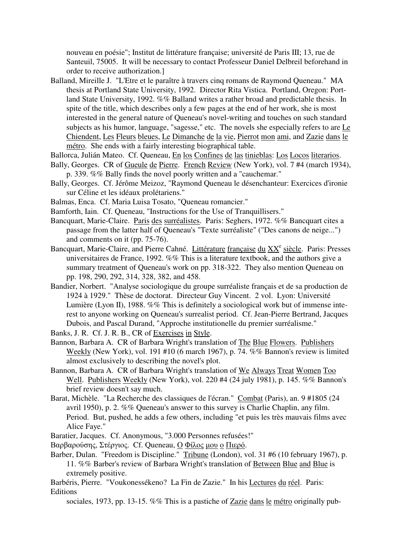nouveau en poésie"; Institut de littérature française; université de Paris III; 13, rue de Santeuil, 75005. It will be necessary to contact Professeur Daniel Delbreil beforehand in order to receive authorization.]

Balland, Mireille J. "L'Etre et le paraître à travers cinq romans de Raymond Queneau." MA thesis at Portland State University, 1992. Director Rita Vistica. Portland, Oregon: Portland State University, 1992. %% Balland writes a rather broad and predictable thesis. In spite of the title, which describes only a few pages at the end of her work, she is most interested in the general nature of Queneau's novel-writing and touches on such standard subjects as his humor, language, "sagesse," etc. The novels she especially refers to are Le Chiendent, Les Fleurs bleues, Le Dimanche de la vie, Pierrot mon ami, and Zazie dans le métro. She ends with a fairly interesting biographical table.

Ballorca, Julián Mateo. Cf. Queneau, En los Confines de las tinieblas: Los Locos literarios.

- Bally, Georges. CR of Gueule de Pierre. French Review (New York), vol. 7 #4 (march 1934), p. 339. %% Bally finds the novel poorly written and a "cauchemar."
- Bally, Georges. Cf. Jérôme Meizoz, "Raymond Queneau le désenchanteur: Exercices d'ironie sur Céline et les idéaux prolétariens."
- Balmas, Enca. Cf. Maria Luisa Tosato, "Queneau romancier."
- Bamforth, Iain. Cf. Queneau, "Instructions for the Use of Tranquillisers."
- Bancquart, Marie-Claire. Paris des surréalistes. Paris: Seghers, 1972. %% Bancquart cites a passage from the latter half of Queneau's "Texte surréaliste" ("Des canons de neige...") and comments on it (pp. 75-76).
- Bancquart, Marie-Claire, and Pierre Cahné. Littérature française du XX<sup>e</sup> siècle. Paris: Presses universitaires de France, 1992. %% This is a literature textbook, and the authors give a summary treatment of Queneau's work on pp. 318-322. They also mention Queneau on pp. 198, 290, 292, 314, 328, 382, and 458.
- Bandier, Norbert. "Analyse sociologique du groupe surréaliste français et de sa production de 1924 à 1929." Thèse de doctorat. Directeur Guy Vincent. 2 vol. Lyon: Université Lumière (Lyon II), 1988. %% This is definitely a sociological work but of immense interest to anyone working on Queneau's surrealist period. Cf. Jean-Pierre Bertrand, Jacques Dubois, and Pascal Durand, "Approche institutionelle du premier surréalisme."
- Banks, J. R. Cf. J. R. B., CR of Exercises in Style.
- Bannon, Barbara A. CR of Barbara Wright's translation of The Blue Flowers. Publishers Weekly (New York), vol. 191 #10 (6 march 1967), p. 74. %% Bannon's review is limited almost exclusively to describing the novel's plot.
- Bannon, Barbara A. CR of Barbara Wright's translation of We Always Treat Women Too Well. Publishers Weekly (New York), vol. 220 #4 (24 july 1981), p. 145. %% Bannon's brief review doesn't say much.
- Barat, Michèle. "La Recherche des classiques de l'écran." Combat (Paris), an. 9 #1805 (24 avril 1950), p. 2. %% Queneau's answer to this survey is Charlie Chaplin, any film. Period. But, pushed, he adds a few others, including "et puis les très mauvais films avec Alice Faye."
- Baratier, Jacques. Cf. Anonymous, "3.000 Personnes refusées!"
- Βαρβαρoύσης, Στέργιoς. Cf. Queneau, Ο Φίλoς µoυ o Πιερό.
- Barber, Dulan. "Freedom is Discipline." Tribune (London), vol. 31 #6 (10 february 1967), p. 11. %% Barber's review of Barbara Wright's translation of Between Blue and Blue is extremely positive.
- Barbéris, Pierre. "Voukonessékeno? La Fin de Zazie." In his Lectures du réel. Paris: Editions
	- sociales, 1973, pp. 13-15. %% This is a pastiche of Zazie dans le métro originally pub-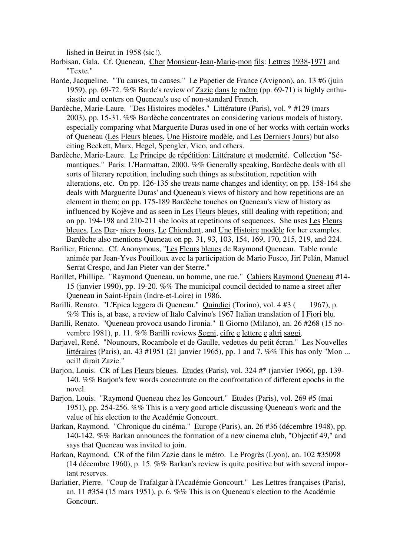lished in Beirut in 1958 (sic!).

- Barbisan, Gala. Cf. Queneau, Cher Monsieur-Jean-Marie-mon fils: Lettres 1938-1971 and "Texte."
- Barde, Jacqueline. "Tu causes, tu causes." Le Papetier de France (Avignon), an. 13 #6 (juin 1959), pp. 69-72. %% Barde's review of Zazie dans le métro (pp. 69-71) is highly enthusiastic and centers on Queneau's use of non-standard French.
- Bardèche, Marie-Laure. "Des Histoires modèles." Littérature (Paris), vol. \* #129 (mars 2003), pp. 15-31. %% Bardèche concentrates on considering various models of history, especially comparing what Marguerite Duras used in one of her works with certain works of Queneau (Les Fleurs bleues, Une Histoire modèle, and Les Derniers Jours) but also citing Beckett, Marx, Hegel, Spengler, Vico, and others.
- Bardèche, Marie-Laure. Le Principe de répétition: Littérature et modernité. Collection "Sémantiques." Paris: L'Harmattan, 2000. %% Generally speaking, Bardèche deals with all sorts of literary repetition, including such things as substitution, repetition with alterations, etc. On pp. 126-135 she treats name changes and identity; on pp. 158-164 she deals with Marguerite Duras' and Queneau's views of history and how repetitions are an element in them; on pp. 175-189 Bardèche touches on Queneau's view of history as influenced by Kojève and as seen in Les Fleurs bleues, still dealing with repetition; and on pp. 194-198 and 210-211 she looks at repetitions of sequences. She uses Les Fleurs bleues, Les Der- niers Jours, Le Chiendent, and Une Histoire modèle for her examples. Bardèche also mentions Queneau on pp. 31, 93, 103, 154, 169, 170, 215, 219, and 224.
- Barilier, Etienne. Cf. Anonymous, "Les Fleurs bleues de Raymond Queneau. Table ronde animée par Jean-Yves Pouilloux avec la participation de Mario Fusco, Jirí Pelán, Manuel Serrat Crespo, and Jan Pieter van der Sterre."
- Barillet, Phillipe. "Raymond Queneau, un homme, une rue." Cahiers Raymond Queneau #14- 15 (janvier 1990), pp. 19-20. %% The municipal council decided to name a street after Queneau in Saint-Epain (Indre-et-Loire) in 1986.
- Barilli, Renato. "L'Epica leggera di Queneau." Quindici (Torino), vol. 4 #3 ( 1967), p. %% This is, at base, a review of Italo Calvino's 1967 Italian translation of I Fiori blu.
- Barilli, Renato. "Queneau provoca usando l'ironia." Il Giorno (Milano), an. 26 #268 (15 novembre 1981), p. 11. %% Barilli reviews Segni, cifre e lettere e altri saggi.
- Barjavel, René. "Nounours, Rocambole et de Gaulle, vedettes du petit écran." Les Nouvelles littéraires (Paris), an. 43 #1951 (21 janvier 1965), pp. 1 and 7. %% This has only "Mon ... oeil! dirait Zazie."
- Barjon, Louis. CR of Les Fleurs bleues. Etudes (Paris), vol. 324 #\* (janvier 1966), pp. 139- 140. %% Barjon's few words concentrate on the confrontation of different epochs in the novel.
- Barjon, Louis. "Raymond Queneau chez les Goncourt." Etudes (Paris), vol. 269 #5 (mai 1951), pp. 254-256. %% This is a very good article discussing Queneau's work and the value of his election to the Académie Goncourt.
- Barkan, Raymond. "Chronique du cinéma." Europe (Paris), an. 26 #36 (décembre 1948), pp. 140-142. %% Barkan announces the formation of a new cinema club, "Objectif 49," and says that Queneau was invited to join.
- Barkan, Raymond. CR of the film Zazie dans le métro. Le Progrès (Lyon), an. 102 #35098 (14 décembre 1960), p. 15. %% Barkan's review is quite positive but with several important reserves.
- Barlatier, Pierre. "Coup de Trafalgar à l'Académie Goncourt." Les Lettres françaises (Paris), an. 11 #354 (15 mars 1951), p. 6. %% This is on Queneau's election to the Académie Goncourt.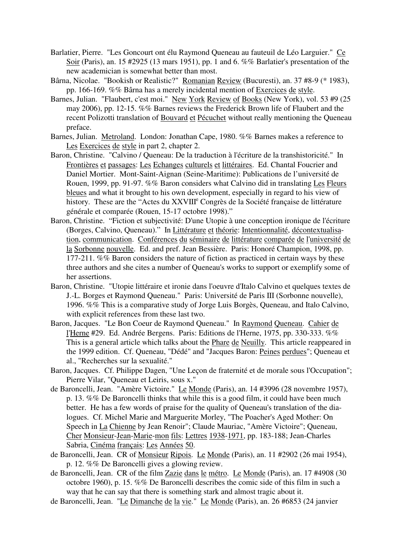- Barlatier, Pierre. "Les Goncourt ont élu Raymond Queneau au fauteuil de Léo Larguier." Ce Soir (Paris), an. 15 #2925 (13 mars 1951), pp. 1 and 6. %% Barlatier's presentation of the new academician is somewhat better than most.
- Bârna, Nicolae. "Bookish or Realistic?" Romanian Review (Bucuresti), an. 37 #8-9 (\* 1983), pp. 166-169. %% Bârna has a merely incidental mention of Exercices de style.
- Barnes, Julian. "Flaubert, c'est moi." New York Review of Books (New York), vol. 53 #9 (25 may 2006), pp. 12-15. %% Barnes reviews the Frederick Brown life of Flaubert and the recent Polizotti translation of Bouvard et Pécuchet without really mentioning the Queneau preface.
- Barnes, Julian. Metroland. London: Jonathan Cape, 1980. %% Barnes makes a reference to Les Exercices de style in part 2, chapter 2.
- Baron, Christine. "Calvino / Queneau: De la traduction à l'écriture de la transhistoricité." In Frontières et passages: Les Echanges culturels et littéraires. Ed. Chantal Foucrier and Daniel Mortier. Mont-Saint-Aignan (Seine-Maritime): Publications de l'université de Rouen, 1999, pp. 91-97. %% Baron considers what Calvino did in translating Les Fleurs bleues and what it brought to his own development, especially in regard to his view of history. These are the "Actes du XXVIII<sup>e</sup> Congrès de la Société française de littérature générale et comparée (Rouen, 15-17 octobre 1998)."
- Baron, Christine. "Fiction et subjectivité: D'une Utopie à une conception ironique de l'écriture (Borges, Calvino, Queneau)." In Littérature et théorie: Intentionnalité, décontextualisation, communication. Conférences du séminaire de littérature comparée de l'université de la Sorbonne nouvelle. Ed. and pref. Jean Bessière. Paris: Honoré Champion, 1998, pp. 177-211. %% Baron considers the nature of fiction as practiced in certain ways by these three authors and she cites a number of Queneau's works to support or exemplify some of her assertions.
- Baron, Christine. "Utopie littéraire et ironie dans l'oeuvre d'Italo Calvino et quelques textes de J.-L. Borges et Raymond Queneau." Paris: Université de Paris III (Sorbonne nouvelle), 1996. %% This is a comparative study of Jorge Luis Borgès, Queneau, and Italo Calvino, with explicit references from these last two.
- Baron, Jacques. "Le Bon Coeur de Raymond Queneau." In Raymond Queneau. Cahier de l'Herne #29. Ed. Andrée Bergens. Paris: Editions de l'Herne, 1975, pp. 330-333. %% This is a general article which talks about the Phare de Neuilly. This article reappeared in the 1999 edition. Cf. Queneau, "Dédé" and "Jacques Baron: Peines perdues"; Queneau et al., "Recherches sur la sexualité."
- Baron, Jacques. Cf. Philippe Dagen, "Une Leçon de fraternité et de morale sous l'Occupation"; Pierre Vilar, "Queneau et Leiris, sous x."
- de Baroncelli, Jean. "Amère Victoire." Le Monde (Paris), an. 14 #3996 (28 novembre 1957), p. 13. %% De Baroncelli thinks that while this is a good film, it could have been much better. He has a few words of praise for the quality of Queneau's translation of the dialogues. Cf. Michel Marie and Marguerite Morley, "The Poacher's Aged Mother: On Speech in La Chienne by Jean Renoir"; Claude Mauriac, "Amère Victoire"; Queneau, Cher Monsieur-Jean-Marie-mon fils: Lettres 1938-1971, pp. 183-188; Jean-Charles Sabria, Cinéma français: Les Années 50.
- de Baroncelli, Jean. CR of Monsieur Ripois. Le Monde (Paris), an. 11 #2902 (26 mai 1954), p. 12. %% De Baroncelli gives a glowing review.
- de Baroncelli, Jean. CR of the film Zazie dans le métro. Le Monde (Paris), an. 17 #4908 (30 octobre 1960), p. 15. %% De Baroncelli describes the comic side of this film in such a way that he can say that there is something stark and almost tragic about it.
- de Baroncelli, Jean. "Le Dimanche de la vie." Le Monde (Paris), an. 26 #6853 (24 janvier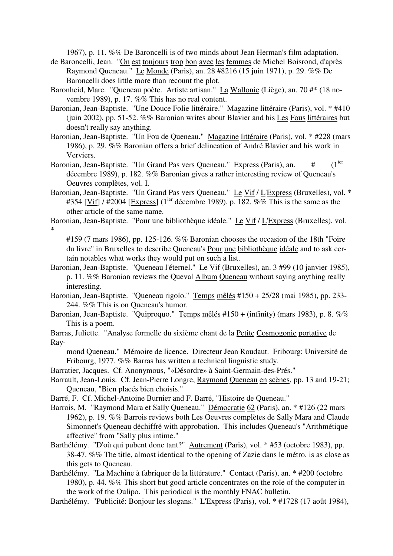1967), p. 11. %% De Baroncelli is of two minds about Jean Herman's film adaptation.

- de Baroncelli, Jean. "On est toujours trop bon avec les femmes de Michel Boisrond, d'après Raymond Queneau." Le Monde (Paris), an. 28 #8216 (15 juin 1971), p. 29. %% De Baroncelli does little more than recount the plot.
- Baronheid, Marc. "Queneau poète. Artiste artisan." La Wallonie (Liège), an. 70 #\* (18 novembre 1989), p. 17. %% This has no real content.
- Baronian, Jean-Baptiste. "Une Douce Folie littéraire." Magazine littéraire (Paris), vol. \* #410 (juin 2002), pp. 51-52. %% Baronian writes about Blavier and his Les Fous littéraires but doesn't really say anything.
- Baronian, Jean-Baptiste. "Un Fou de Queneau." Magazine littéraire (Paris), vol. \* #228 (mars 1986), p. 29. %% Baronian offers a brief delineation of André Blavier and his work in Verviers.
- Baronian, Jean-Baptiste. "Un Grand Pas vers Queneau." Express (Paris), an.  $(1<sup>ier</sup>)$ décembre 1989), p. 182. %% Baronian gives a rather interesting review of Queneau's Oeuvres complètes, vol. I.
- Baronian, Jean-Baptiste. "Un Grand Pas vers Queneau." Le Vif / L'Express (Bruxelles), vol. \* #354 [Vif]  $/$  #2004 [Express] (1<sup>ier</sup> décembre 1989), p. 182. %% This is the same as the other article of the same name.
- Baronian, Jean-Baptiste. "Pour une bibliothèque idéale." Le Vif / L'Express (Bruxelles), vol. \*
	- #159 (7 mars 1986), pp. 125-126. %% Baronian chooses the occasion of the 18th "Foire du livre" in Bruxelles to describe Queneau's Pour une bibliothèque idéale and to ask certain notables what works they would put on such a list.
- Baronian, Jean-Baptiste. "Queneau l'éternel." Le Vif (Bruxelles), an. 3 #99 (10 janvier 1985), p. 11. %% Baronian reviews the Queval Album Queneau without saying anything really interesting.
- Baronian, Jean-Baptiste. "Queneau rigolo." Temps mêlés #150 + 25/28 (mai 1985), pp. 233- 244. %% This is on Queneau's humor.
- Baronian, Jean-Baptiste. "Quiproquo." Temps mêlés #150 + (infinity) (mars 1983), p. 8. %% This is a poem.
- Barras, Juliette. "Analyse formelle du sixième chant de la Petite Cosmogonie portative de Ray
	- mond Queneau." Mémoire de licence. Directeur Jean Roudaut. Fribourg: Université de Fribourg, 1977. %% Barras has written a technical linguistic study.
- Barratier, Jacques. Cf. Anonymous, "«Désordre» à Saint-Germain-des-Prés."
- Barrault, Jean-Louis. Cf. Jean-Pierre Longre, Raymond Queneau en scènes, pp. 13 and 19-21; Queneau, "Bien placés bien choisis."
- Barré, F. Cf. Michel-Antoine Burnier and F. Barré, "Histoire de Queneau."
- Barrois, M. "Raymond Mara et Sally Queneau." Démocratie 62 (Paris), an. \* #126 (22 mars 1962), p. 19. %% Barrois reviews both Les Oeuvres complètes de Sally Mara and Claude Simonnet's Queneau déchiffré with approbation. This includes Queneau's "Arithmétique affective" from "Sally plus intime."
- Barthélémy. "D'où qui pubent donc tant?" Autrement (Paris), vol. \* #53 (octobre 1983), pp. 38-47. %% The title, almost identical to the opening of Zazie dans le métro, is as close as this gets to Queneau.
- Barthélémy. "La Machine à fabriquer de la littérature." Contact (Paris), an. \* #200 (octobre 1980), p. 44. %% This short but good article concentrates on the role of the computer in the work of the Oulipo. This periodical is the monthly FNAC bulletin.
- Barthélémy. "Publicité: Bonjour les slogans." L'Express (Paris), vol. \* #1728 (17 août 1984),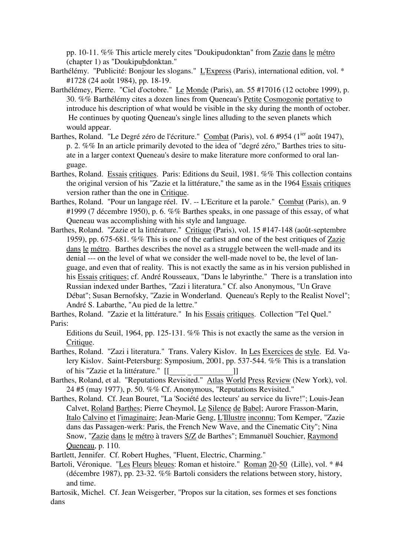pp. 10-11. %% This article merely cites "Doukipudonktan" from Zazie dans le métro (chapter 1) as "Doukipubdonktan."

- Barthélémy. "Publicité: Bonjour les slogans." L'Express (Paris), international edition, vol. \* #1728 (24 août 1984), pp. 18-19.
- Barthélémey, Pierre. "Ciel d'octobre." Le Monde (Paris), an. 55 #17016 (12 octobre 1999), p. 30. %% Barthélémy cites a dozen lines from Queneau's Petite Cosmogonie portative to introduce his description of what would be visible in the sky during the month of october. He continues by quoting Queneau's single lines alluding to the seven planets which would appear.
- Barthes, Roland. "Le Degré zéro de l'écriture." Combat (Paris), vol. 6 #954 (1<sup>ier</sup> août 1947), p. 2. %% In an article primarily devoted to the idea of "degré zéro," Barthes tries to situate in a larger context Queneau's desire to make literature more conformed to oral language.
- Barthes, Roland. Essais critiques. Paris: Editions du Seuil, 1981. %% This collection contains the original version of his "Zazie et la littérature," the same as in the 1964 Essais critiques version rather than the one in Critique.
- Barthes, Roland. "Pour un langage réel. IV. -- L'Ecriture et la parole." Combat (Paris), an. 9 #1999 (7 décembre 1950), p. 6. %% Barthes speaks, in one passage of this essay, of what Queneau was accomplishing with his style and language.
- Barthes, Roland. "Zazie et la littérature." Critique (Paris), vol. 15 #147-148 (août-septembre 1959), pp. 675-681. %% This is one of the earliest and one of the best critiques of Zazie dans le métro. Barthes describes the novel as a struggle between the well-made and its denial --- on the level of what we consider the well-made novel to be, the level of language, and even that of reality. This is not exactly the same as in his version published in his Essais critiques; cf. André Rousseaux, "Dans le labyrinthe." There is a translation into Russian indexed under Barthes, "Zazi i literatura." Cf. also Anonymous, "Un Grave Débat"; Susan Bernofsky, "Zazie in Wonderland. Queneau's Reply to the Realist Novel"; André S. Labarthe, "Au pied de la lettre."

Barthes, Roland. "Zazie et la littérature." In his Essais critiques. Collection "Tel Quel." Paris:

Editions du Seuil, 1964, pp. 125-131. %% This is not exactly the same as the version in Critique.

- Barthes, Roland. "Zazi i literatura." Trans. Valery Kislov. In Les Exercices de style. Ed. Valery Kislov. Saint-Petersburg: Symposium, 2001, pp. 537-544. %% This is a translation of his "Zazie et la littérature." [[ ]
- of his "Zazie et la littérature." [[\_\_\_\_\_\_\_\_\_\_\_\_\_\_\_\_\_\_\_\_\_\_\_\_\_]]<br>Barthes, Roland, et al. "Reputations Revisited." Atlas World Press Review (New York), vol. 24 #5 (may 1977), p. 50. %% Cf. Anonymous, "Reputations Revisited."
- Barthes, Roland. Cf. Jean Bouret, "La 'Société des lecteurs' au service du livre!"; Louis-Jean Calvet, Roland Barthes; Pierre Cheymol, Le Silence de Babel; Aurore Frasson-Marin, Italo Calvino et l'imaginaire; Jean-Marie Geng, L'Illustre inconnu; Tom Kemper, "Zazie dans das Passagen-werk: Paris, the French New Wave, and the Cinematic City"; Nina Snow, "Zazie dans le métro à travers S/Z de Barthes"; Emmanuël Souchier, Raymond Queneau, p. 110.
- Bartlett, Jennifer. Cf. Robert Hughes, "Fluent, Electric, Charming."
- Bartoli, Véronique. "Les Fleurs bleues: Roman et histoire." Roman 20-50 (Lille), vol. \* #4 (décembre 1987), pp. 23-32. %% Bartoli considers the relations between story, history, and time.
- Bartosik, Michel. Cf. Jean Weisgerber, "Propos sur la citation, ses formes et ses fonctions dans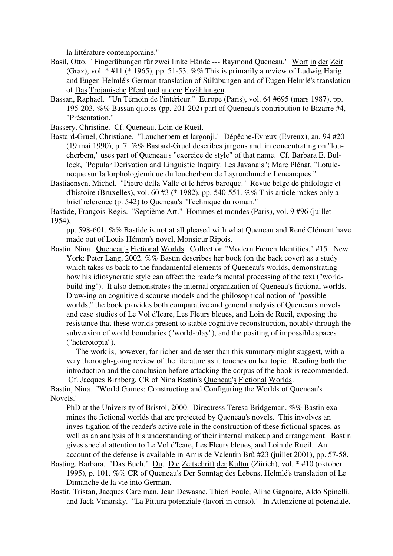la littérature contemporaine."

- Basil, Otto. "Fingerübungen für zwei linke Hände --- Raymond Queneau." Wort in der Zeit (Graz), vol.  $*$  #11 ( $*$  1965), pp. 51-53. %% This is primarily a review of Ludwig Harig and Eugen Helmlé's German translation of Stilübungen and of Eugen Helmlé's translation of Das Trojanische Pferd und andere Erzählungen.
- Bassan, Raphaël. "Un Témoin de l'intérieur." Europe (Paris), vol. 64 #695 (mars 1987), pp. 195-203. %% Bassan quotes (pp. 201-202) part of Queneau's contribution to Bizarre #4, "Présentation."

Bassery, Christine. Cf. Queneau, Loin de Rueil.

- Bastard-Gruel, Christiane. "Loucherbem et largonji." Dépêche-Evreux (Evreux), an. 94 #20 (19 mai 1990), p. 7. %% Bastard-Gruel describes jargons and, in concentrating on "loucherbem," uses part of Queneau's "exercice de style" of that name. Cf. Barbara E. Bullock, "Popular Derivation and Linguistic Inquiry: Les Javanais"; Marc Plénat, "Lotulenoque sur la lorphologiemique du loucherbem de Layrondmuche Leneauques."
- Bastiaensen, Michel. "Pietro della Valle et le héros baroque." Revue belge de philologie et d'histoire (Bruxelles), vol. 60 #3 (\* 1982), pp. 540-551. %% This article makes only a brief reference (p. 542) to Queneau's "Technique du roman."

Bastide, François-Régis. "Septième Art." Hommes et mondes (Paris), vol. 9 #96 (juillet 1954),

pp. 598-601. %% Bastide is not at all pleased with what Queneau and René Clément have made out of Louis Hémon's novel, Monsieur Ripois.

Bastin, Nina. Queneau's Fictional Worlds. Collection "Modern French Identities," #15. New York: Peter Lang, 2002. %% Bastin describes her book (on the back cover) as a study which takes us back to the fundamental elements of Queneau's worlds, demonstrating how his idiosyncratic style can affect the reader's mental processing of the text ("worldbuild-ing"). It also demonstrates the internal organization of Queneau's fictional worlds. Draw-ing on cognitive discourse models and the philosophical notion of "possible worlds," the book provides both comparative and general analysis of Queneau's novels and case studies of Le Vol d'Icare, Les Fleurs bleues, and Loin de Rueil, exposing the resistance that these worlds present to stable cognitive reconstruction, notably through the subversion of world boundaries ("world-play"), and the positing of impossible spaces ("heterotopia").

 The work is, however, far richer and denser than this summary might suggest, with a very thorough-going review of the literature as it touches on her topic. Reading both the introduction and the conclusion before attacking the corpus of the book is recommended. Cf. Jacques Birnberg, CR of Nina Bastin's Queneau's Fictional Worlds.

Bastin, Nina. "World Games: Constructing and Configuring the Worlds of Queneau's Novels."

PhD at the University of Bristol, 2000. Directress Teresa Bridgeman. %% Bastin examines the fictional worlds that are projected by Queneau's novels. This involves an inves-tigation of the reader's active role in the construction of these fictional spaces, as well as an analysis of his understanding of their internal makeup and arrangement. Bastin gives special attention to Le Vol d'Icare, Les Fleurs bleues, and Loin de Rueil. An account of the defense is available in Amis de Valentin Brû #23 (juillet 2001), pp. 57-58.

Basting, Barbara. "Das Buch." Du. Die Zeitschrift der Kultur (Zürich), vol. \* #10 (oktober 1995), p. 101. %% CR of Queneau's Der Sonntag des Lebens, Helmlé's translation of Le Dimanche de la vie into German.

Bastit, Tristan, Jacques Carelman, Jean Dewasne, Thieri Foulc, Aline Gagnaire, Aldo Spinelli, and Jack Vanarsky. "La Pittura potenziale (lavori in corso)." In Attenzione al potenziale.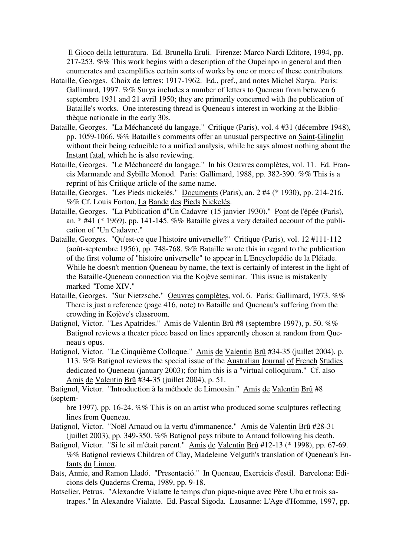Il Gioco della letturatura. Ed. Brunella Eruli. Firenze: Marco Nardi Editore, 1994, pp. 217-253. %% This work begins with a description of the Oupeinpo in general and then enumerates and exemplifies certain sorts of works by one or more of these contributors.

- Bataille, Georges. Choix de lettres: 1917-1962. Ed., pref., and notes Michel Surya. Paris: Gallimard, 1997. %% Surya includes a number of letters to Queneau from between 6 septembre 1931 and 21 avril 1950; they are primarily concerned with the publication of Bataille's works. One interesting thread is Queneau's interest in working at the Bibliothèque nationale in the early 30s.
- Bataille, Georges. "La Méchanceté du langage." Critique (Paris), vol. 4 #31 (décembre 1948), pp. 1059-1066. %% Bataille's comments offer an unusual perspective on Saint-Glinglin without their being reducible to a unified analysis, while he says almost nothing about the Instant fatal, which he is also reviewing.
- Bataille, Georges. "Le Méchanceté du langage." In his Oeuvres complètes, vol. 11. Ed. Francis Marmande and Sybille Monod. Paris: Gallimard, 1988, pp. 382-390. %% This is a reprint of his Critique article of the same name.
- Bataille, Georges. "Les Pieds nickelés." Documents (Paris), an. 2 #4 (\* 1930), pp. 214-216. %% Cf. Louis Forton, La Bande des Pieds Nickelés.
- Bataille, Georges. "La Publication d"Un Cadavre' (15 janvier 1930)." Pont de l'épée (Paris), an.  $*$  #41 ( $*$  1969), pp. 141-145. %% Bataille gives a very detailed account of the publication of "Un Cadavre."
- Bataille, Georges. "Qu'est-ce que l'histoire universelle?" Critique (Paris), vol. 12 #111-112 (août-septembre 1956), pp. 748-768. %% Bataille wrote this in regard to the publication of the first volume of "histoire universelle" to appear in L'Encyclopédie de la Pléiade. While he doesn't mention Queneau by name, the text is certainly of interest in the light of the Bataille-Queneau connection via the Kojève seminar. This issue is mistakenly marked "Tome XIV."
- Bataille, Georges. "Sur Nietzsche." Oeuvres complètes, vol. 6. Paris: Gallimard, 1973. %% There is just a reference (page 416, note) to Bataille and Queneau's suffering from the crowding in Kojève's classroom.
- Batignol, Victor. "Les Apatrides." Amis de Valentin Brû #8 (septembre 1997), p. 50. %% Batignol reviews a theater piece based on lines apparently chosen at random from Queneau's opus.
- Batignol, Victor. "Le Cinquième Colloque." Amis de Valentin Brû #34-35 (juillet 2004), p. 113. %% Batignol reviews the special issue of the Australian Journal of French Studies dedicated to Queneau (january 2003); for him this is a "virtual colloquium." Cf. also Amis de Valentin Brû #34-35 (juillet 2004), p. 51.

Batignol, Victor. "Introduction à la méthode de Limousin." Amis de Valentin Brû #8 (septem-

bre 1997), pp. 16-24. %% This is on an artist who produced some sculptures reflecting lines from Queneau.

- Batignol, Victor. "Noël Arnaud ou la vertu d'immanence." Amis de Valentin Brû #28-31 (juillet 2003), pp. 349-350. %% Batignol pays tribute to Arnaud following his death.
- Batignol, Victor. "Si le sil m'était parent." Amis de Valentin Brû #12-13 (\* 1998), pp. 67-69. %% Batignol reviews Children of Clay, Madeleine Velguth's translation of Queneau's Enfants du Limon.
- Bats, Annie, and Ramon Lladó. "Presentació." In Queneau, Exercicis d'estil. Barcelona: Edicions dels Quaderns Crema, 1989, pp. 9-18.
- Batselier, Petrus. "Alexandre Vialatte le temps d'un pique-nique avec Père Ubu et trois satrapes." In Alexandre Vialatte. Ed. Pascal Sigoda. Lausanne: L'Age d'Homme, 1997, pp.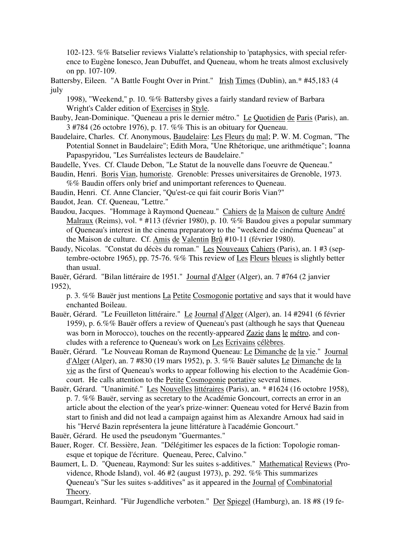102-123. %% Batselier reviews Vialatte's relationship to 'pataphysics, with special reference to Eugène Ionesco, Jean Dubuffet, and Queneau, whom he treats almost exclusively on pp. 107-109.

Battersby, Eileen. "A Battle Fought Over in Print." Irish Times (Dublin), an.\* #45,183 (4 july

1998), "Weekend," p. 10. %% Battersby gives a fairly standard review of Barbara Wright's Calder edition of Exercises in Style.

- Bauby, Jean-Dominique. "Queneau a pris le dernier métro." Le Quotidien de Paris (Paris), an. 3 #784 (26 octobre 1976), p. 17. %% This is an obituary for Queneau.
- Baudelaire, Charles. Cf. Anonymous, Baudelaire: Les Fleurs du mal; P. W. M. Cogman, "The Potential Sonnet in Baudelaire"; Edith Mora, "Une Rhétorique, une arithmétique"; Ioanna Papaspyridou, "Les Surréalistes lecteurs de Baudelaire."
- Baudelle, Yves. Cf. Claude Debon, "Le Statut de la nouvelle dans l'oeuvre de Queneau."
- Baudin, Henri. Boris Vian, humoriste. Grenoble: Presses universitaires de Grenoble, 1973. %% Baudin offers only brief and unimportant references to Queneau.
- Baudin, Henri. Cf. Anne Clancier, "Qu'est-ce qui fait courir Boris Vian?"

Baudot, Jean. Cf. Queneau, "Lettre."

- Baudou, Jacques. "Hommage à Raymond Queneau." Cahiers de la Maison de culture André Malraux (Reims), vol. \* #113 (février 1980), p. 10. %% Baudou gives a popular summary of Queneau's interest in the cinema preparatory to the "weekend de cinéma Queneau" at the Maison de culture. Cf. Amis de Valentin Brû #10-11 (février 1980).
- Baudy, Nicolas. "Constat du décès du roman." Les Nouveaux Cahiers (Paris), an. 1 #3 (septembre-octobre 1965), pp. 75-76. %% This review of Les Fleurs bleues is slightly better than usual.
- Bauër, Gérard. "Bilan littéraire de 1951." Journal d'Alger (Alger), an. 7 #764 (2 janvier 1952),

p. 3. %% Bauër just mentions La Petite Cosmogonie portative and says that it would have enchanted Boileau.

- Bauër, Gérard. "Le Feuilleton littéraire." Le Journal d'Alger (Alger), an. 14 #2941 (6 février 1959), p. 6.%% Bauër offers a review of Queneau's past (although he says that Queneau was born in Morocco), touches on the recently-appeared Zazie dans le métro, and concludes with a reference to Queneau's work on Les Ecrivains célèbres.
- Bauër, Gérard. "Le Nouveau Roman de Raymond Queneau: Le Dimanche de la vie." Journal d'Alger (Alger), an. 7 #830 (19 mars 1952), p. 3. %% Bauër salutes Le Dimanche de la vie as the first of Queneau's works to appear following his election to the Académie Goncourt. He calls attention to the Petite Cosmogonie portative several times.
- Bauër, Gérard. "Unanimité." Les Nouvelles littéraires (Paris), an. \* #1624 (16 octobre 1958), p. 7. %% Bauër, serving as secretary to the Académie Goncourt, corrects an error in an article about the election of the year's prize-winner: Queneau voted for Hervé Bazin from start to finish and did not lead a campaign against him as Alexandre Arnoux had said in his "Hervé Bazin représentera la jeune littérature à l'académie Goncourt."
- Bauër, Gérard. He used the pseudonym "Guermantes."
- Bauer, Roger. Cf. Bessière, Jean. "Délégitimer les espaces de la fiction: Topologie romanesque et topique de l'écriture. Queneau, Perec, Calvino."
- Baumert, L. D. "Queneau, Raymond: Sur les suites s-additives." Mathematical Reviews (Providence, Rhode Island), vol. 46 #2 (august 1973), p. 292. %% This summarizes Queneau's "Sur les suites s-additives" as it appeared in the Journal of Combinatorial Theory.

Baumgart, Reinhard. "Für Jugendliche verboten." Der Spiegel (Hamburg), an. 18 #8 (19 fe-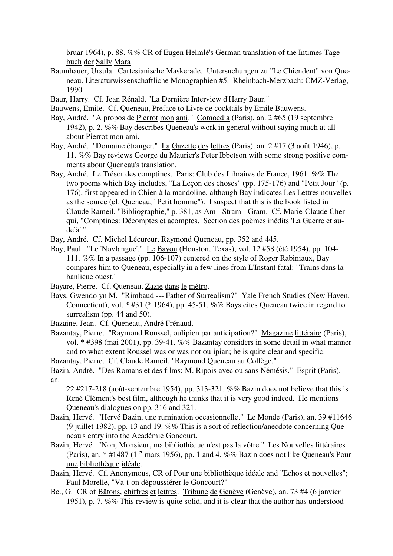bruar 1964), p. 88. %% CR of Eugen Helmlé's German translation of the Intimes Tagebuch der Sally Mara

- Baumhauer, Ursula. Cartesianische Maskerade. Untersuchungen zu "Le Chiendent" von Queneau. Literaturwissenschaftliche Monographien #5. Rheinbach-Merzbach: CMZ-Verlag, 1990.
- Baur, Harry. Cf. Jean Rénald, "La Dernière Interview d'Harry Baur."
- Bauwens, Emile. Cf. Queneau, Preface to Livre de cocktails by Emile Bauwens.
- Bay, André. "A propos de Pierrot mon ami." Comoedia (Paris), an. 2 #65 (19 septembre 1942), p. 2. %% Bay describes Queneau's work in general without saying much at all about Pierrot mon ami.
- Bay, André. "Domaine étranger." La Gazette des lettres (Paris), an. 2 #17 (3 août 1946), p. 11. %% Bay reviews George du Maurier's Peter Ibbetson with some strong positive comments about Queneau's translation.
- Bay, André. Le Trésor des comptines. Paris: Club des Libraires de France, 1961. %% The two poems which Bay includes, "La Leçon des choses" (pp. 175-176) and "Petit Jour" (p. 176), first appeared in Chien à la mandoline, although Bay indicates Les Lettres nouvelles as the source (cf. Queneau, "Petit homme"). I suspect that this is the book listed in Claude Rameil, "Bibliographie," p. 381, as Am - Stram - Gram. Cf. Marie-Claude Cherqui, "Comptines: Décomptes et acomptes. Section des poèmes inédits 'La Guerre et audelà'."
- Bay, André. Cf. Michel Lécureur, Raymond Queneau, pp. 352 and 445.
- Bay, Paul. "Le 'Novlangue'." Le Bayou (Houston, Texas), vol. 12 #58 (été 1954), pp. 104- 111. %% In a passage (pp. 106-107) centered on the style of Roger Rabiniaux, Bay compares him to Queneau, especially in a few lines from L'Instant fatal: "Trains dans la banlieue ouest."
- Bayare, Pierre. Cf. Queneau, Zazie dans le métro.
- Bays, Gwendolyn M. "Rimbaud --- Father of Surrealism?" Yale French Studies (New Haven, Connecticut), vol. \* #31 (\* 1964), pp. 45-51. %% Bays cites Queneau twice in regard to surrealism (pp. 44 and 50).
- Bazaine, Jean. Cf. Queneau, André Frénaud.
- Bazantay, Pierre. "Raymond Roussel, oulipien par anticipation?" Magazine littéraire (Paris), vol. \* #398 (mai 2001), pp. 39-41. %% Bazantay considers in some detail in what manner and to what extent Roussel was or was not oulipian; he is quite clear and specific.

Bazantay, Pierre. Cf. Claude Rameil, "Raymond Queneau au Collège."

Bazin, André. "Des Romans et des films: M. Ripois avec ou sans Némésis." Esprit (Paris), an.

22 #217-218 (août-septembre 1954), pp. 313-321. %% Bazin does not believe that this is René Clément's best film, although he thinks that it is very good indeed. He mentions Queneau's dialogues on pp. 316 and 321.

- Bazin, Hervé. "Hervé Bazin, une rumination occasionnelle." Le Monde (Paris), an. 39 #11646 (9 juillet 1982), pp. 13 and 19. %% This is a sort of reflection/anecdote concerning Queneau's entry into the Académie Goncourt.
- Bazin, Hervé. "Non, Monsieur, ma bibliothèque n'est pas la vôtre." Les Nouvelles littéraires (Paris), an. \* #1487 ( $1^{ier}$  mars 1956), pp. 1 and 4. %% Bazin does not like Queneau's Pour une bibliothèque idéale.
- Bazin, Hervé. Cf. Anonymous, CR of Pour une bibliothèque idéale and "Echos et nouvelles"; Paul Morelle, "Va-t-on dépoussiérer le Goncourt?"
- Bc., G. CR of Bâtons, chiffres et lettres. Tribune de Genève (Genève), an. 73 #4 (6 janvier 1951), p. 7. %% This review is quite solid, and it is clear that the author has understood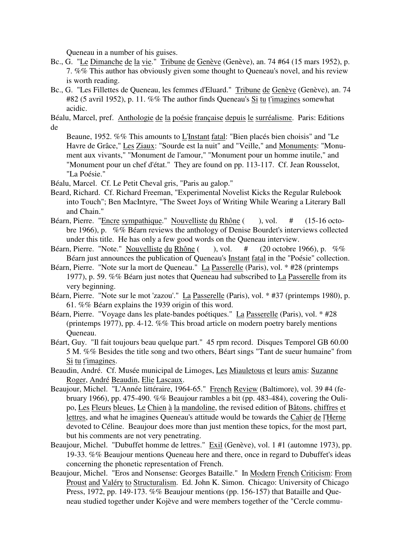Queneau in a number of his guises.

- Bc., G. "Le Dimanche de la vie." Tribune de Genève (Genève), an. 74 #64 (15 mars 1952), p. 7. %% This author has obviously given some thought to Queneau's novel, and his review is worth reading.
- Bc., G. "Les Fillettes de Queneau, les femmes d'Eluard." Tribune de Genève (Genève), an. 74 #82 (5 avril 1952), p. 11. %% The author finds Queneau's Si tu t'imagines somewhat acidic.

Béalu, Marcel, pref. Anthologie de la poésie française depuis le surréalisme. Paris: Editions de

Beaune, 1952. %% This amounts to L'Instant fatal: "Bien placés bien choisis" and "Le Havre de Grâce," Les Ziaux: "Sourde est la nuit" and "Veille," and Monuments: "Monument aux vivants," "Monument de l'amour," "Monument pour un homme inutile," and "Monument pour un chef d'état." They are found on pp. 113-117. Cf. Jean Rousselot, "La Poésie."

Béalu, Marcel. Cf. Le Petit Cheval gris, "Paris au galop."

- Beard, Richard. Cf. Richard Freeman, "Experimental Novelist Kicks the Regular Rulebook into Touch"; Ben MacIntyre, "The Sweet Joys of Writing While Wearing a Literary Ball and Chain."
- Béarn, Pierre. "Encre sympathique." Nouvelliste du Rhône ( ), vol. # (15-16 octobre 1966), p. %% Béarn reviews the anthology of Denise Bourdet's interviews collected under this title. He has only a few good words on the Queneau interview.
- Béarn, Pierre. "Note." Nouvelliste du Rhône ( ), vol. # (20 octobre 1966), p. %% Béarn just announces the publication of Queneau's Instant fatal in the "Poésie" collection.
- Béarn, Pierre. "Note sur la mort de Queneau." La Passerelle (Paris), vol. \* #28 (printemps 1977), p. 59. %% Béarn just notes that Queneau had subscribed to La Passerelle from its very beginning.
- Béarn, Pierre. "Note sur le mot 'zazou'." La Passerelle (Paris), vol. \* #37 (printemps 1980), p. 61. %% Béarn explains the 1939 origin of this word.
- Béarn, Pierre. "Voyage dans les plate-bandes poétiques." La Passerelle (Paris), vol. \* #28 (printemps 1977), pp. 4-12. %% This broad article on modern poetry barely mentions Queneau.
- Béart, Guy. "Il fait toujours beau quelque part." 45 rpm record. Disques Temporel GB 60.00 5 M. %% Besides the title song and two others, Béart sings "Tant de sueur humaine" from Si tu t'imagines.
- Beaudin, André. Cf. Musée municipal de Limoges, Les Miauletous et leurs amis: Suzanne Roger, André Beaudin, Elie Lascaux.
- Beaujour, Michel. "L'Année littéraire, 1964-65." French Review (Baltimore), vol. 39 #4 (february 1966), pp. 475-490. %% Beaujour rambles a bit (pp. 483-484), covering the Oulipo, Les Fleurs bleues, Le Chien à la mandoline, the revised edition of Bâtons, chiffres et lettres, and what he imagines Queneau's attitude would be towards the Cahier de l'Herne devoted to Céline. Beaujour does more than just mention these topics, for the most part, but his comments are not very penetrating.
- Beaujour, Michel. "Dubuffet homme de lettres." Exil (Genève), vol. 1 #1 (automne 1973), pp. 19-33. %% Beaujour mentions Queneau here and there, once in regard to Dubuffet's ideas concerning the phonetic representation of French.
- Beaujour, Michel. "Eros and Nonsense: Georges Bataille." In Modern French Criticism: From Proust and Valéry to Structuralism. Ed. John K. Simon. Chicago: University of Chicago Press, 1972, pp. 149-173. %% Beaujour mentions (pp. 156-157) that Bataille and Queneau studied together under Kojève and were members together of the "Cercle commu-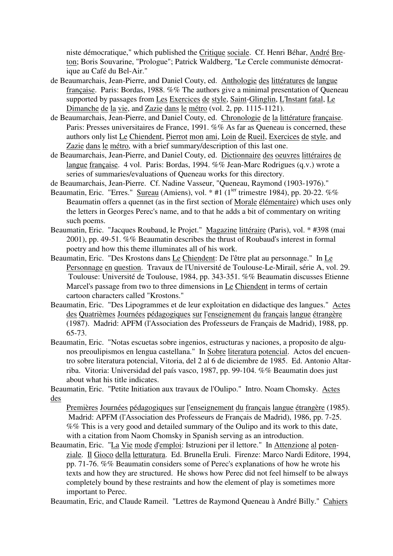niste démocratique," which published the Critique sociale. Cf. Henri Béhar, André Breton; Boris Souvarine, "Prologue"; Patrick Waldberg, "Le Cercle communiste démocratique au Café du Bel-Air."

- de Beaumarchais, Jean-Pierre, and Daniel Couty, ed. Anthologie des littératures de langue française. Paris: Bordas, 1988. %% The authors give a minimal presentation of Queneau supported by passages from Les Exercices de style, Saint-Glinglin, L'Instant fatal, Le Dimanche de la vie, and Zazie dans le métro (vol. 2, pp. 1115-1121).
- de Beaumarchais, Jean-Pierre, and Daniel Couty, ed. Chronologie de la littérature française. Paris: Presses universitaires de France, 1991. %% As far as Queneau is concerned, these authors only list Le Chiendent, Pierrot mon ami, Loin de Rueil, Exercices de style, and Zazie dans le métro, with a brief summary/description of this last one.
- de Beaumarchais, Jean-Pierre, and Daniel Couty, ed. Dictionnaire des oeuvres littéraires de langue française. 4 vol. Paris: Bordas, 1994. %% Jean-Marc Rodrigues (q.v.) wrote a series of summaries/evaluations of Queneau works for this directory.
- de Beaumarchais, Jean-Pierre. Cf. Nadine Vasseur, "Queneau, Raymond (1903-1976)."
- Beaumatin, Eric. "Erres." Sureau (Amiens), vol.  $*$  #1 ( $1^{ter}$  trimestre 1984), pp. 20-22. %% Beaumatin offers a quennet (as in the first section of Morale élémentaire) which uses only the letters in Georges Perec's name, and to that he adds a bit of commentary on writing such poems.
- Beaumatin, Eric. "Jacques Roubaud, le Projet." Magazine littéraire (Paris), vol. \* #398 (mai 2001), pp. 49-51. %% Beaumatin describes the thrust of Roubaud's interest in formal poetry and how this theme illuminates all of his work.
- Beaumatin, Eric. "Des Krostons dans Le Chiendent: De l'être plat au personnage." In Le Personnage en question. Travaux de l'Université de Toulouse-Le-Mirail, série A, vol. 29. Toulouse: Université de Toulouse, 1984, pp. 343-351. %% Beaumatin discusses Etienne Marcel's passage from two to three dimensions in Le Chiendent in terms of certain cartoon characters called "Krostons."
- Beaumatin, Eric. "Des Lipogrammes et de leur exploitation en didactique des langues." Actes des Quatrièmes Journées pédagogiques sur l'enseignement du français langue étrangère (1987). Madrid: APFM (l'Association des Professeurs de Français de Madrid), 1988, pp. 65-73.
- Beaumatin, Eric. "Notas escuetas sobre ingenios, estructuras y naciones, a proposito de algunos preoulipismos en lengua castellana." In Sobre literatura potencial. Actos del encuentro sobre literatura potencial, Vitoria, del 2 al 6 de diciembre de 1985. Ed. Antonio Altarriba. Vitoria: Universidad del país vasco, 1987, pp. 99-104. %% Beaumatin does just about what his title indicates.

Beaumatin, Eric. "Petite Initiation aux travaux de l'Oulipo." Intro. Noam Chomsky. Actes des

Premières Journées pédagogiques sur l'enseignement du français langue étrangère (1985). Madrid: APFM (l'Association des Professeurs de Français de Madrid), 1986, pp. 7-25. %% This is a very good and detailed summary of the Oulipo and its work to this date, with a citation from Naom Chomsky in Spanish serving as an introduction.

Beaumatin, Eric. "La Vie mode d'emploi: Istruzioni per il lettore." In Attenzione al potenziale. Il Gioco della letturatura. Ed. Brunella Eruli. Firenze: Marco Nardi Editore, 1994, pp. 71-76. %% Beaumatin considers some of Perec's explanations of how he wrote his texts and how they are structured. He shows how Perec did not feel himself to be always completely bound by these restraints and how the element of play is sometimes more important to Perec.

Beaumatin, Eric, and Claude Rameil. "Lettres de Raymond Queneau à André Billy." Cahiers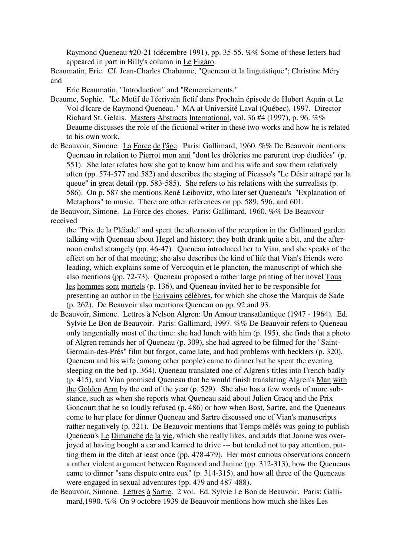Raymond Queneau #20-21 (décembre 1991), pp. 35-55. %% Some of these letters had appeared in part in Billy's column in Le Figaro.

Beaumatin, Eric. Cf. Jean-Charles Chabanne, "Queneau et la linguistique"; Christine Méry and

Eric Beaumatin, "Introduction" and "Remerciements."

- Beaume, Sophie. "Le Motif de l'écrivain fictif dans Prochain épisode de Hubert Aquin et Le Vol d'Icare de Raymond Queneau." MA at Université Laval (Québec), 1997. Director Richard St. Gelais. Masters Abstracts International, vol. 36 #4 (1997), p. 96. %% Beaume discusses the role of the fictional writer in these two works and how he is related to his own work.
- de Beauvoir, Simone. La Force de l'âge. Paris: Gallimard, 1960. %% De Beauvoir mentions Queneau in relation to Pierrot mon ami "dont les drôleries me parurent trop étudiées" (p. 551). She later relates how she got to know him and his wife and saw them relatively often (pp. 574-577 and 582) and describes the staging of Picasso's "Le Désir attrapé par la queue" in great detail (pp. 583-585). She refers to his relations with the surrealists (p. 586). On p. 587 she mentions René Leibovitz, who later set Queneau's "Explanation of Metaphors" to music. There are other references on pp. 589, 596, and 601.

de Beauvoir, Simone. La Force des choses. Paris: Gallimard, 1960. %% De Beauvoir received

the "Prix de la Pléiade" and spent the afternoon of the reception in the Gallimard garden talking with Queneau about Hegel and history; they both drank quite a bit, and the afternoon ended strangely (pp. 46-47). Queneau introduced her to Vian, and she speaks of the effect on her of that meeting; she also describes the kind of life that Vian's friends were leading, which explains some of Vercoquin et le plancton, the manuscript of which she also mentions (pp. 72-73). Queneau proposed a rather large printing of her novel Tous les hommes sont mortels (p. 136), and Queneau invited her to be responsible for presenting an author in the Ecrivains célèbres, for which she chose the Marquis de Sade (p. 262). De Beauvoir also mentions Queneau on pp. 92 and 93.

- de Beauvoir, Simone. Lettres à Nelson Algren: Un Amour transatlantique (1947 1964). Ed. Sylvie Le Bon de Beauvoir. Paris: Gallimard, 1997. %% De Beauvoir refers to Queneau only tangentially most of the time: she had lunch with him (p. 195), she finds that a photo of Algren reminds her of Queneau (p. 309), she had agreed to be filmed for the "Saint-Germain-des-Prés" film but forgot, came late, and had problems with hecklers (p. 320), Queneau and his wife (among other people) came to dinner but he spent the evening sleeping on the bed (p. 364), Queneau translated one of Algren's titles into French badly (p. 415), and Vian promised Queneau that he would finish translating Algren's Man with the Golden Arm by the end of the year (p. 529). She also has a few words of more substance, such as when she reports what Queneau said about Julien Gracq and the Prix Goncourt that he so loudly refused (p. 486) or how when Bost, Sartre, and the Queneaus come to her place for dinner Queneau and Sartre discussed one of Vian's manuscripts rather negatively (p. 321). De Beauvoir mentions that Temps mêlés was going to publish Queneau's Le Dimanche de la vie, which she really likes, and adds that Janine was overjoyed at having bought a car and learned to drive --- but tended not to pay attention, putting them in the ditch at least once (pp. 478-479). Her most curious observations concern a rather violent argument between Raymond and Janine (pp. 312-313), how the Queneaus came to dinner "sans dispute entre eux" (p. 314-315), and how all three of the Queneaus were engaged in sexual adventures (pp. 479 and 487-488).
- de Beauvoir, Simone. Lettres à Sartre. 2 vol. Ed. Sylvie Le Bon de Beauvoir. Paris: Gallimard,1990. %% On 9 octobre 1939 de Beauvoir mentions how much she likes Les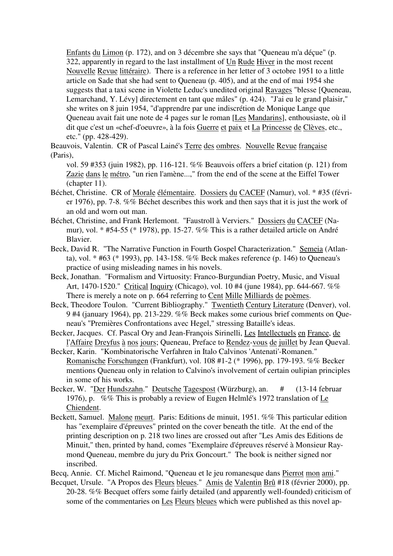Enfants du Limon (p. 172), and on 3 décembre she says that "Queneau m'a déçue" (p. 322, apparently in regard to the last installment of Un Rude Hiver in the most recent Nouvelle Revue littéraire). There is a reference in her letter of 3 octobre 1951 to a little article on Sade that she had sent to Queneau (p. 405), and at the end of mai 1954 she suggests that a taxi scene in Violette Leduc's unedited original Ravages "blesse [Queneau, Lemarchand, Y. Lévy] directement en tant que mâles" (p. 424). "J'ai eu le grand plaisir," she writes on 8 juin 1954, "d'apprendre par une indiscrétion de Monique Lange que Queneau avait fait une note de 4 pages sur le roman [Les Mandarins], enthousiaste, où il dit que c'est un «chef-d'oeuvre», à la fois Guerre et paix et La Princesse de Clèves, etc., etc." (pp. 428-429).

Beauvois, Valentin. CR of Pascal Lainé's Terre des ombres. Nouvelle Revue française (Paris),

- vol. 59 #353 (juin 1982), pp. 116-121. %% Beauvois offers a brief citation (p. 121) from Zazie dans le métro, "un rien l'amène...," from the end of the scene at the Eiffel Tower (chapter 11).
- Béchet, Christine. CR of Morale élémentaire. Dossiers du CACEF (Namur), vol. \* #35 (février 1976), pp. 7-8. %% Béchet describes this work and then says that it is just the work of an old and worn out man.
- Béchet, Christine, and Frank Herlemont. "Faustroll à Verviers." Dossiers du CACEF (Namur), vol. \* #54-55 (\* 1978), pp. 15-27. %% This is a rather detailed article on André Blavier.
- Beck, David R. "The Narrative Function in Fourth Gospel Characterization." Semeia (Atlanta), vol. \* #63 (\* 1993), pp. 143-158. %% Beck makes reference (p. 146) to Queneau's practice of using misleading names in his novels.
- Beck, Jonathan. "Formalism and Virtuosity: Franco-Burgundian Poetry, Music, and Visual Art, 1470-1520." Critical Inquiry (Chicago), vol. 10 #4 (june 1984), pp. 644-667. %% There is merely a note on p. 664 referring to Cent Mille Milliards de poèmes.
- Beck, Theodore Toulon. "Current Bibliography." Twentieth Century Literature (Denver), vol. 9 #4 (january 1964), pp. 213-229. %% Beck makes some curious brief comments on Queneau's "Premières Confrontations avec Hegel," stressing Bataille's ideas.
- Becker, Jacques. Cf. Pascal Ory and Jean-François Sirinelli, Les Intellectuels en France, de l'Affaire Dreyfus à nos jours; Queneau, Preface to Rendez-vous de juillet by Jean Queval.
- Becker, Karin. "Kombinatorische Verfahren in Italo Calvinos 'Antenati'-Romanen." Romanische Forschungen (Frankfurt), vol. 108 #1-2 (\* 1996), pp. 179-193. %% Becker mentions Queneau only in relation to Calvino's involvement of certain oulipian principles in some of his works.
- Becker, W. "Der Hundszahn." Deutsche Tagespost (Würzburg), an. # (13-14 februar 1976), p. %% This is probably a review of Eugen Helmlé's 1972 translation of Le Chiendent.
- Beckett, Samuel. Malone meurt. Paris: Editions de minuit, 1951. %% This particular edition has "exemplaire d'épreuves" printed on the cover beneath the title. At the end of the printing description on p. 218 two lines are crossed out after "Les Amis des Editions de Minuit," then, printed by hand, comes "Exemplaire d'épreuves réservé à Monsieur Raymond Queneau, membre du jury du Prix Goncourt." The book is neither signed nor inscribed.
- Becq, Annie. Cf. Michel Raimond, "Queneau et le jeu romanesque dans Pierrot mon ami."
- Becquet, Ursule. "A Propos des Fleurs bleues." Amis de Valentin Brû #18 (février 2000), pp. 20-28. %% Becquet offers some fairly detailed (and apparently well-founded) criticism of some of the commentaries on Les Fleurs bleues which were published as this novel ap-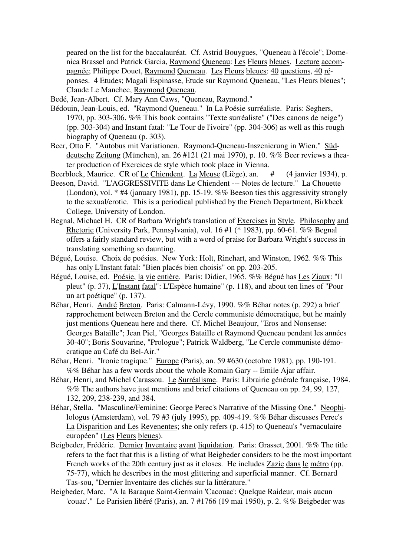peared on the list for the baccalauréat. Cf. Astrid Bouygues, "Queneau à l'école"; Domenica Brassel and Patrick Garcia, Raymond Queneau: Les Fleurs bleues. Lecture accompagnée; Philippe Douet, Raymond Queneau. Les Fleurs bleues: 40 questions, 40 réponses. 4 Etudes; Magali Espinasse, Etude sur Raymond Queneau, "Les Fleurs bleues"; Claude Le Manchec, Raymond Queneau.

- Bedé, Jean-Albert. Cf. Mary Ann Caws, "Queneau, Raymond."
- Bédouin, Jean-Louis, ed. "Raymond Queneau." In La Poésie surréaliste. Paris: Seghers, 1970, pp. 303-306. %% This book contains "Texte surréaliste" ("Des canons de neige") (pp. 303-304) and Instant fatal: "Le Tour de l'ivoire" (pp. 304-306) as well as this rough biography of Queneau (p. 303).
- Beer, Otto F. "Autobus mit Variationen. Raymond-Queneau-Inszenierung in Wien." Süddeutsche Zeitung (München), an. 26 #121 (21 mai 1970), p. 10. %% Beer reviews a theater production of Exercices de style which took place in Vienna.
- Beerblock, Maurice. CR of Le Chiendent. La Meuse (Liège), an. # (4 janvier 1934), p.
- Beeson, David. "L'AGGRESSIVITE dans Le Chiendent --- Notes de lecture." La Chouette (London), vol. \* #4 (january 1981), pp. 15-19. %% Beeson ties this aggressivity strongly to the sexual/erotic. This is a periodical published by the French Department, Birkbeck College, University of London.
- Begnal, Michael H. CR of Barbara Wright's translation of Exercises in Style. Philosophy and Rhetoric (University Park, Pennsylvania), vol. 16 #1 (\* 1983), pp. 60-61. %% Begnal offers a fairly standard review, but with a word of praise for Barbara Wright's success in translating something so daunting.
- Bégué, Louise. Choix de poésies. New York: Holt, Rinehart, and Winston, 1962. %% This has only L'Instant fatal: "Bien placés bien choisis" on pp. 203-205.
- Bégué, Louise, ed. Poésie, la vie entière. Paris: Didier, 1965. %% Bégué has Les Ziaux: "Il pleut" (p. 37), L'Instant fatal": L'Espèce humaine" (p. 118), and about ten lines of "Pour un art poétique" (p. 137).
- Béhar, Henri. André Breton. Paris: Calmann-Lévy, 1990. %% Béhar notes (p. 292) a brief rapprochement between Breton and the Cercle communiste démocratique, but he mainly just mentions Queneau here and there. Cf. Michel Beaujour, "Eros and Nonsense: Georges Bataille"; Jean Piel, "Georges Bataille et Raymond Queneau pendant les années 30-40"; Boris Souvarine, "Prologue"; Patrick Waldberg, "Le Cercle communiste démocratique au Café du Bel-Air."
- Béhar, Henri. "Ironie tragique." Europe (Paris), an. 59 #630 (octobre 1981), pp. 190-191. %% Béhar has a few words about the whole Romain Gary -- Emile Ajar affair.
- Béhar, Henri, and Michel Carassou. Le Surréalisme. Paris: Librairie générale française, 1984. %% The authors have just mentions and brief citations of Queneau on pp. 24, 99, 127, 132, 209, 238-239, and 384.
- Béhar, Stella. "Masculine/Feminine: George Perec's Narrative of the Missing One." Neophilologus (Amsterdam), vol. 79 #3 (july 1995), pp. 409-419. %% Béhar discusses Perec's La Disparition and Les Revenentes; she only refers (p. 415) to Queneau's "vernaculaire européen" (Les Fleurs bleues).
- Beigbeder, Frédéric. Dernier Inventaire avant liquidation. Paris: Grasset, 2001. %% The title refers to the fact that this is a listing of what Beigbeder considers to be the most important French works of the 20th century just as it closes. He includes Zazie dans le métro (pp. 75-77), which he describes in the most glittering and superficial manner. Cf. Bernard Tas-sou, "Dernier Inventaire des clichés sur la littérature."
- Beigbeder, Marc. "A la Baraque Saint-Germain 'Cacouac': Quelque Raideur, mais aucun 'couac'." Le Parisien libéré (Paris), an. 7 #1766 (19 mai 1950), p. 2. %% Beigbeder was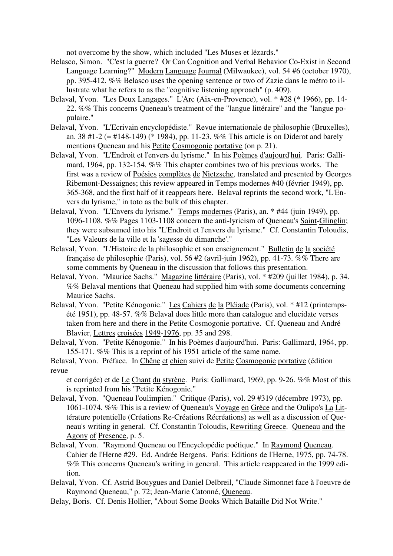not overcome by the show, which included "Les Muses et lézards."

- Belasco, Simon. "C'est la guerre? Or Can Cognition and Verbal Behavior Co-Exist in Second Language Learning?" Modern Language Journal (Milwaukee), vol. 54 #6 (october 1970), pp. 395-412. %% Belasco uses the opening sentence or two of Zazie dans le métro to illustrate what he refers to as the "cognitive listening approach" (p. 409).
- Belaval, Yvon. "Les Deux Langages." L'Arc (Aix-en-Provence), vol. \* #28 (\* 1966), pp. 14- 22. %% This concerns Queneau's treatment of the "langue littéraire" and the "langue populaire."
- Belaval, Yvon. "L'Ecrivain encyclopédiste." Revue internationale de philosophie (Bruxelles), an. 38 #1-2 (= #148-149) (\* 1984), pp. 11-23. %% This article is on Diderot and barely mentions Queneau and his Petite Cosmogonie portative (on p. 21).
- Belaval, Yvon. "L'Endroit et l'envers du lyrisme." In his Poèmes d'aujourd'hui. Paris: Gallimard, 1964, pp. 132-154. %% This chapter combines two of his previous works. The first was a review of Poésies complètes de Nietzsche, translated and presented by Georges Ribemont-Dessaignes; this review appeared in Temps modernes #40 (février 1949), pp. 365-368, and the first half of it reappears here. Belaval reprints the second work, "L'Envers du lyrisme," in toto as the bulk of this chapter.
- Belaval, Yvon. "L'Envers du lyrisme." Temps modernes (Paris), an. \* #44 (juin 1949), pp. 1096-1108. %% Pages 1103-1108 concern the anti-lyricism of Queneau's Saint-Glinglin; they were subsumed into his "L'Endroit et l'envers du lyrisme." Cf. Constantin Toloudis, "Les Valeurs de la ville et la 'sagesse du dimanche'."
- Belaval, Yvon. "L'Histoire de la philosophie et son enseignement." Bulletin de la société française de philosophie (Paris), vol. 56 #2 (avril-juin 1962), pp. 41-73. %% There are some comments by Queneau in the discussion that follows this presentation.
- Belaval, Yvon. "Maurice Sachs." Magazine littéraire (Paris), vol. \* #209 (juillet 1984), p. 34. %% Belaval mentions that Queneau had supplied him with some documents concerning Maurice Sachs.
- Belaval, Yvon. "Petite Kénogonie." Les Cahiers de la Pléiade (Paris), vol. \* #12 (printempsété 1951), pp. 48-57. %% Belaval does little more than catalogue and elucidate verses taken from here and there in the Petite Cosmogonie portative. Cf. Queneau and André Blavier, Lettres croisées 1949-1976, pp. 35 and 298.
- Belaval, Yvon. "Petite Kénogonie." In his Poèmes d'aujourd'hui. Paris: Gallimard, 1964, pp. 155-171. %% This is a reprint of his 1951 article of the same name.
- Belaval, Yvon. Préface. In Chêne et chien suivi de Petite Cosmogonie portative (édition revue

et corrigée) et de Le Chant du styrène. Paris: Gallimard, 1969, pp. 9-26. %% Most of this is reprinted from his "Petite Kénogonie."

- Belaval, Yvon. "Queneau l'oulimpien." Critique (Paris), vol. 29 #319 (décembre 1973), pp. 1061-1074. %% This is a review of Queneau's Voyage en Grèce and the Oulipo's La Littérature potentielle (Créations Re-Créations Récréations) as well as a discussion of Queneau's writing in general. Cf. Constantin Toloudis, Rewriting Greece. Queneau and the Agony of Presence, p. 5.
- Belaval, Yvon. "Raymond Queneau ou l'Encyclopédie poétique." In Raymond Queneau. Cahier de l'Herne #29. Ed. Andrée Bergens. Paris: Editions de l'Herne, 1975, pp. 74-78. %% This concerns Queneau's writing in general. This article reappeared in the 1999 edition.
- Belaval, Yvon. Cf. Astrid Bouygues and Daniel Delbreil, "Claude Simonnet face à l'oeuvre de Raymond Queneau," p. 72; Jean-Marie Catonné, Queneau.
- Belay, Boris. Cf. Denis Hollier, "About Some Books Which Bataille Did Not Write."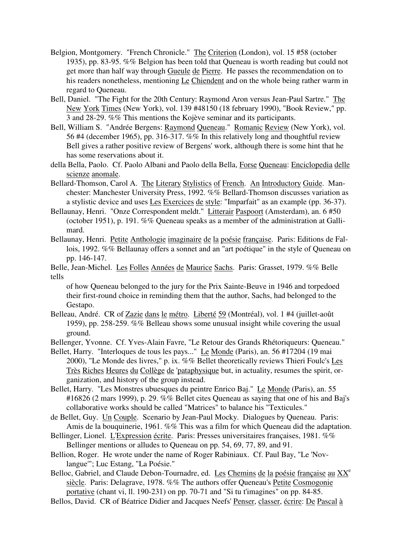- Belgion, Montgomery. "French Chronicle." The Criterion (London), vol. 15 #58 (october 1935), pp. 83-95. %% Belgion has been told that Queneau is worth reading but could not get more than half way through Gueule de Pierre. He passes the recommendation on to his readers nonetheless, mentioning Le Chiendent and on the whole being rather warm in regard to Queneau.
- Bell, Daniel. "The Fight for the 20th Century: Raymond Aron versus Jean-Paul Sartre." The New York Times (New York), vol. 139 #48150 (18 february 1990), "Book Review," pp. 3 and 28-29. %% This mentions the Kojève seminar and its participants.
- Bell, William S. "Andrée Bergens: Raymond Queneau." Romanic Review (New York), vol. 56 #4 (december 1965), pp. 316-317. %% In this relatively long and thoughtful review Bell gives a rather positive review of Bergens' work, although there is some hint that he has some reservations about it.
- della Bella, Paolo. Cf. Paolo Albani and Paolo della Bella, Forse Queneau: Enciclopedia delle scienze anomale.
- Bellard-Thomson, Carol A. The Literary Stylistics of French. An Introductory Guide. Manchester: Manchester University Press, 1992. %% Bellard-Thomson discusses variation as a stylistic device and uses Les Exercices de style: "Imparfait" as an example (pp. 36-37).
- Bellaunay, Henri. "Onze Correspondent meldt." Litterair Paspoort (Amsterdam), an. 6 #50 (october 1951), p. 191. %% Queneau speaks as a member of the administration at Gallimard.
- Bellaunay, Henri. Petite Anthologie imaginaire de la poésie française. Paris: Editions de Fallois, 1992. %% Bellaunay offers a sonnet and an "art poétique" in the style of Queneau on pp. 146-147.
- Belle, Jean-Michel. Les Folles Années de Maurice Sachs. Paris: Grasset, 1979. %% Belle tells
	- of how Queneau belonged to the jury for the Prix Sainte-Beuve in 1946 and torpedoed their first-round choice in reminding them that the author, Sachs, had belonged to the Gestapo.
- Belleau, André. CR of Zazie dans le métro. Liberté 59 (Montréal), vol. 1 #4 (juillet-août 1959), pp. 258-259. %% Belleau shows some unusual insight while covering the usual ground.
- Bellenger, Yvonne. Cf. Yves-Alain Favre, "Le Retour des Grands Rhétoriqueurs: Queneau."
- Bellet, Harry. "Interloques de tous les pays..." Le Monde (Paris), an. 56 #17204 (19 mai 2000), "Le Monde des livres," p. ix. %% Bellet theoretically reviews Thieri Foulc's Les Très Riches Heures du Collège de 'pataphysique but, in actuality, resumes the spirit, organization, and history of the group instead.
- Bellet, Harry. "Les Monstres ubuesques du peintre Enrico Baj." Le Monde (Paris), an. 55 #16826 (2 mars 1999), p. 29. %% Bellet cites Queneau as saying that one of his and Baj's collaborative works should be called "Matrices" to balance his "Texticules."
- de Bellet, Guy. Un Couple. Scenario by Jean-Paul Mocky. Dialogues by Queneau. Paris: Amis de la bouquinerie, 1961. %% This was a film for which Queneau did the adaptation.
- Bellinger, Lionel. L'Expression écrite. Paris: Presses universitaires françaises, 1981. %% Bellinger mentions or alludes to Queneau on pp. 54, 69, 77, 89, and 91.
- Bellion, Roger. He wrote under the name of Roger Rabiniaux. Cf. Paul Bay, "Le 'Novlangue'"; Luc Estang, "La Poésie."
- Belloc, Gabriel, and Claude Debon-Tournadre, ed. Les Chemins de la poésie française au XX<sup>e</sup> siècle. Paris: Delagrave, 1978. %% The authors offer Queneau's Petite Cosmogonie portative (chant vi, ll. 190-231) on pp. 70-71 and "Si tu t'imagines" on pp. 84-85.
- Bellos, David. CR of Béatrice Didier and Jacques Neefs' Penser, classer, écrire: De Pascal à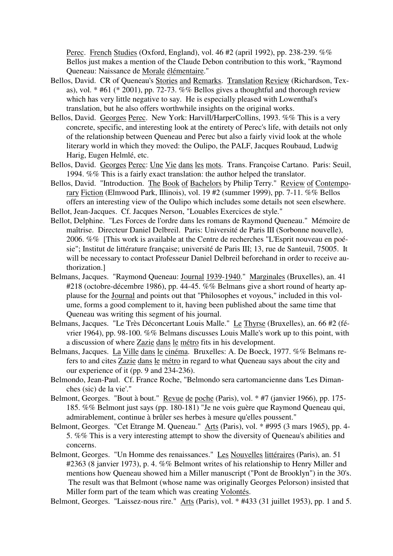Perec. French Studies (Oxford, England), vol. 46 #2 (april 1992), pp. 238-239. %% Bellos just makes a mention of the Claude Debon contribution to this work, "Raymond Queneau: Naissance de Morale élémentaire."

- Bellos, David. CR of Queneau's Stories and Remarks. Translation Review (Richardson, Texas), vol. \* #61 (\* 2001), pp. 72-73. %% Bellos gives a thoughtful and thorough review which has very little negative to say. He is especially pleased with Lowenthal's translation, but he also offers worthwhile insights on the original works.
- Bellos, David. Georges Perec. New York: Harvill/HarperCollins, 1993. %% This is a very concrete, specific, and interesting look at the entirety of Perec's life, with details not only of the relationship between Queneau and Perec but also a fairly vivid look at the whole literary world in which they moved: the Oulipo, the PALF, Jacques Roubaud, Ludwig Harig, Eugen Helmlé, etc.
- Bellos, David. Georges Perec: Une Vie dans les mots. Trans. Françoise Cartano. Paris: Seuil, 1994. %% This is a fairly exact translation: the author helped the translator.
- Bellos, David. "Introduction. The Book of Bachelors by Philip Terry." Review of Contemporary Fiction (Elmwood Park, Illinois), vol. 19 #2 (summer 1999), pp. 7-11. %% Bellos offers an interesting view of the Oulipo which includes some details not seen elsewhere.
- Bellot, Jean-Jacques. Cf. Jacques Nerson, "Louables Exercices de style."
- Bellot, Delphine. "Les Forces de l'ordre dans les romans de Raymond Queneau." Mémoire de maîtrise. Directeur Daniel Delbreil. Paris: Université de Paris III (Sorbonne nouvelle), 2006. %% [This work is available at the Centre de recherches "L'Esprit nouveau en poésie"; Institut de littérature française; université de Paris III; 13, rue de Santeuil, 75005. It will be necessary to contact Professeur Daniel Delbreil beforehand in order to receive authorization.]
- Belmans, Jacques. "Raymond Queneau: Journal 1939-1940." Marginales (Bruxelles), an. 41 #218 (octobre-décembre 1986), pp. 44-45. %% Belmans give a short round of hearty applause for the Journal and points out that "Philosophes et voyous," included in this volume, forms a good complement to it, having been published about the same time that Queneau was writing this segment of his journal.
- Belmans, Jacques. "Le Très Déconcertant Louis Malle." Le Thyrse (Bruxelles), an. 66 #2 (février 1964), pp. 98-100. %% Belmans discusses Louis Malle's work up to this point, with a discussion of where Zazie dans le métro fits in his development.
- Belmans, Jacques. La Ville dans le cinéma. Bruxelles: A. De Boeck, 1977. %% Belmans refers to and cites Zazie dans le métro in regard to what Queneau says about the city and our experience of it (pp. 9 and 234-236).
- Belmondo, Jean-Paul. Cf. France Roche, "Belmondo sera cartomancienne dans 'Les Dimanches (sic) de la vie'."
- Belmont, Georges. "Bout à bout." Revue de poche (Paris), vol. \* #7 (janvier 1966), pp. 175- 185. %% Belmont just says (pp. 180-181) "Je ne vois guère que Raymond Queneau qui, admirablement, continue à brûler ses herbes à mesure qu'elles poussent."
- Belmont, Georges. "Cet Etrange M. Queneau." Arts (Paris), vol. \* #995 (3 mars 1965), pp. 4- 5. %% This is a very interesting attempt to show the diversity of Queneau's abilities and concerns.
- Belmont, Georges. "Un Homme des renaissances." Les Nouvelles littéraires (Paris), an. 51 #2363 (8 janvier 1973), p. 4. %% Belmont writes of his relationship to Henry Miller and mentions how Queneau showed him a Miller manuscript ("Pont de Brooklyn") in the 30's. The result was that Belmont (whose name was originally Georges Pelorson) insisted that Miller form part of the team which was creating Volontés.

Belmont, Georges. "Laissez-nous rire." Arts (Paris), vol. \* #433 (31 juillet 1953), pp. 1 and 5.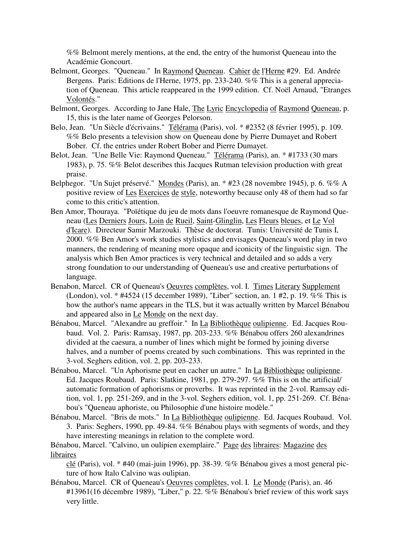%% Belmont merely mentions, at the end, the entry of the humorist Queneau into the Académie Goncourt.

- Belmont, Georges. "Queneau." In Raymond Queneau. Cahier de l'Herne #29. Ed. Andrée Bergens. Paris: Editions de l'Herne, 1975, pp. 233-240. %% This is a general appreciation of Queneau. This article reappeared in the 1999 edition. Cf. Noël Arnaud, "Etranges Volontés."
- Belmont, Georges. According to Jane Hale, The Lyric Encyclopedia of Raymond Queneau, p. 15, this is the later name of Georges Pelorson.
- Belo, Jean. "Un Siècle d'écrivains." Télérama (Paris), vol. \* #2352 (8 février 1995), p. 109. %% Belo presents a television show on Queneau done by Pierre Dumayet and Robert Bober. Cf. the entries under Robert Bober and Pierre Dumayet.
- Belot, Jean. "Une Belle Vie: Raymond Queneau." Télérama (Paris), an. \* #1733 (30 mars 1983), p. 75. %% Belot describes this Jacques Rutman television production with great praise.
- Belphegor. "Un Sujet préservé." Mondes (Paris), an. \* #23 (28 novembre 1945), p. 6. %% A positive review of Les Exercices de style, noteworthy because only 48 of them had so far come to this critic's attention.
- Ben Amor, Thouraya. "Poïétique du jeu de mots dans l'oeuvre romanesque de Raymond Queneau (Les Derniers Jours, Loin de Rueil, Saint-Glinglin, Les Fleurs bleues, et Le Vol d'Icare). Directeur Samir Marzouki. Thèse de doctorat. Tunis: Université de Tunis I, 2000. %% Ben Amor's work studies stylistics and envisages Queneau's word play in two manners, the rendering of meaning more opaque and iconicity of the linguistic sign. The analysis which Ben Amor practices is very technical and detailed and so adds a very strong foundation to our understanding of Queneau's use and creative perturbations of language.
- Benabon, Marcel. CR of Queneau's Oeuvres complètes, vol. I. Times Literary Supplement (London), vol. \* #4524 (15 december 1989), "Liber" section, an. 1 #2, p. 19. %% This is how the author's name appears in the TLS, but it was actually written by Marcel Bénabou and appeared also in Le Monde on the next day.
- Bénabou, Marcel. "Alexandre au greffoir." In La Bibliothèque oulipienne. Ed. Jacques Roubaud. Vol. 2. Paris: Ramsay, 1987, pp. 203-233. %% Bénabou offers 260 alexandrines divided at the caesura, a number of lines which might be formed by joining diverse halves, and a number of poems created by such combinations. This was reprinted in the 3-vol. Seghers edition, vol. 2, pp. 203-233.
- Bénabou, Marcel. "Un Aphorisme peut en cacher un autre." In La Bibliothèque oulipienne. Ed. Jacques Roubaud. Paris: Slatkine, 1981, pp. 279-297. %% This is on the artificial/ automatic formation of aphorisms or proverbs. It was reprinted in the 2-vol. Ramsay edition, vol. 1, pp. 251-269, and in the 3-vol. Seghers edition, vol. 1, pp. 251-269. Cf. Bénabou's "Queneau aphoriste, ou Philosophie d'une histoire modèle."
- Bénabou, Marcel. "Bris de mots." In La Bibliothèque oulipienne. Ed. Jacques Roubaud. Vol. 3. Paris: Seghers, 1990, pp. 49-84. %% Bénabou plays with segments of words, and they have interesting meanings in relation to the complete word.

Bénabou, Marcel. "Calvino, un oulipien exemplaire." Page des libraires: Magazine des libraires

clé (Paris), vol. \* #40 (mai-juin 1996), pp. 38-39. %% Bénabou gives a most general picture of how Italo Calvino was oulipian.

Bénabou, Marcel. CR of Queneau's Oeuvres complètes, vol. I. Le Monde (Paris), an. 46 #13961(16 décembre 1989), "Liber," p. 22. %% Bénabou's brief review of this work says very little.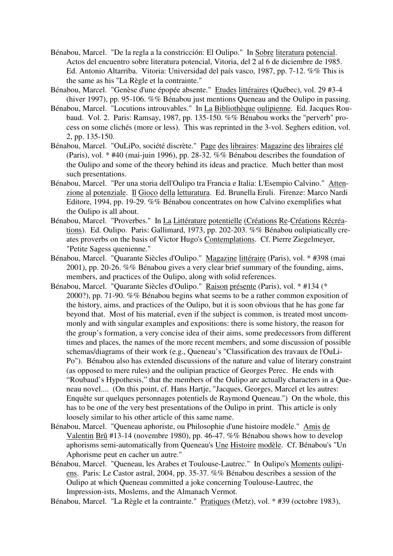- Bénabou, Marcel. "De la regla a la constricción: El Oulipo." In Sobre literatura potencial. Actos del encuentro sobre literatura potencial, Vitoria, del 2 al 6 de diciembre de 1985. Ed. Antonio Altarriba. Vitoria: Universidad del país vasco, 1987, pp. 7-12. %% This is the same as his "La Règle et la contrainte."
- Bénabou, Marcel. "Genèse d'une épopée absente." Etudes littéraires (Québec), vol. 29 #3-4 (hiver 1997), pp. 95-106. %% Bénabou just mentions Queneau and the Oulipo in passing.
- Bénabou, Marcel. "Locutions introuvables." In La Bibliothèque oulipienne. Ed. Jacques Roubaud. Vol. 2. Paris: Ramsay, 1987, pp. 135-150. %% Bénabou works the "perverb" process on some clichés (more or less). This was reprinted in the 3-vol. Seghers edition, vol. 2, pp. 135-150.
- Bénabou, Marcel. "OuLiPo, société discrète." Page des libraires: Magazine des libraires clé (Paris), vol. \* #40 (mai-juin 1996), pp. 28-32. %% Bénabou describes the foundation of the Oulipo and some of the theory behind its ideas and practice. Much better than most such presentations.
- Bénabou, Marcel. "Per una storia dell'Oulipo tra Francia e Italia: L'Esempio Calvino." Attenzione al potenziale. Il Gioco della letturatura. Ed. Brunella Eruli. Firenze: Marco Nardi Editore, 1994, pp. 19-29. %% Bénabou concentrates on how Calvino exemplifies what the Oulipo is all about.
- Bénabou, Marcel. "Proverbes." In La Littérature potentielle (Créations Re-Créations Récréations). Ed. Oulipo. Paris: Gallimard, 1973, pp. 202-203. %% Bénabou oulipiatically creates proverbs on the basis of Victor Hugo's Contemplations. Cf. Pierre Ziegelmeyer, "Petite Sagess quenienne."
- Bénabou, Marcel. "Quarante Siècles d'Oulipo." Magazine littéraire (Paris), vol. \* #398 (mai 2001), pp. 20-26. %% Bénabou gives a very clear brief summary of the founding, aims, members, and practices of the Oulipo, along with solid references.
- Bénabou, Marcel. "Quarante Siècles d'Oulipo." Raison présente (Paris), vol. \* #134 (\* 2000?), pp. 71-90. %% Bénabou begins what seems to be a rather common exposition of the history, aims, and practices of the Oulipo, but it is soon obvious that he has gone far beyond that. Most of his material, even if the subject is common, is treated most uncommonly and with singular examples and expositions: there is some history, the reason for the group's formation, a very concise idea of their aims, some predecessors from different times and places, the names of the more recent members, and some discussion of possible schemas/diagrams of their work (e.g., Queneau's "Classification des travaux de l'OuLi-Po"). Bénabou also has extended discussions of the nature and value of literary constraint (as opposed to mere rules) and the oulipian practice of Georges Perec. He ends with "Roubaud's Hypothesis," that the members of the Oulipo are actually characters in a Queneau novel.... (On this point, cf. Hans Hartje, "Jacques, Georges, Marcel et les autres: Enquête sur quelques personnages potentiels de Raymond Queneau.") On the whole, this has to be one of the very best presentations of the Oulipo in print. This article is only loosely similar to his other article of this same name.
- Bénabou, Marcel. "Queneau aphoriste, ou Philosophie d'une histoire modèle." Amis de Valentin Brû #13-14 (novembre 1980), pp. 46-47. %% Bénabou shows how to develop aphorisms semi-automatically from Queneau's Une Histoire modèle. Cf. Bénabou's "Un Aphorisme peut en cacher un autre."
- Bénabou, Marcel. "Queneau, les Arabes et Toulouse-Lautrec." In Oulipo's Moments oulipiens. Paris: Le Castor astral, 2004, pp. 35-37. %% Bénabou describes a session of the Oulipo at which Queneau committed a joke concerning Toulouse-Lautrec, the Impression-ists, Moslems, and the Almanach Vermot.

Bénabou, Marcel. "La Règle et la contrainte." Pratiques (Metz), vol. \* #39 (octobre 1983),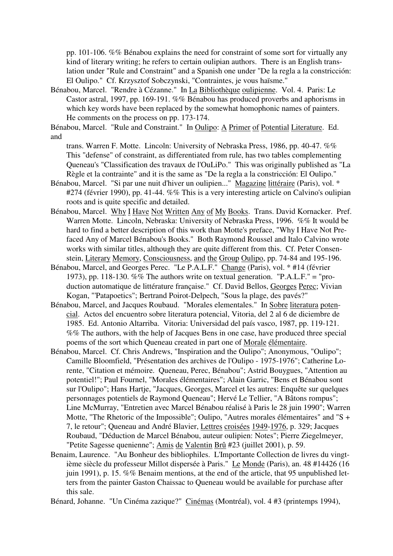pp. 101-106. %% Bénabou explains the need for constraint of some sort for virtually any kind of literary writing; he refers to certain oulipian authors. There is an English translation under "Rule and Constraint" and a Spanish one under "De la regla a la constricción: El Oulipo." Cf. Krzysztof Sobczynski, "Contraintes, je vous haïsme."

Bénabou, Marcel. "Rendre à Cézanne." In La Bibliothèque oulipienne. Vol. 4. Paris: Le Castor astral, 1997, pp. 169-191. %% Bénabou has produced proverbs and aphorisms in which key words have been replaced by the somewhat homophonic names of painters. He comments on the process on pp. 173-174.

Bénabou, Marcel. "Rule and Constraint." In Oulipo: A Primer of Potential Literature. Ed. and

trans. Warren F. Motte. Lincoln: University of Nebraska Press, 1986, pp. 40-47. %% This "defense" of constraint, as differentiated from rule, has two tables complementing Queneau's "Classification des travaux de l'OuLiPo." This was originally published as "La Règle et la contrainte" and it is the same as "De la regla a la constricción: El Oulipo."

- Bénabou, Marcel. "Si par une nuit d'hiver un oulipien..." Magazine littéraire (Paris), vol. \* #274 (février 1990), pp. 41-44. %% This is a very interesting article on Calvino's oulipian roots and is quite specific and detailed.
- Bénabou, Marcel. Why I Have Not Written Any of My Books. Trans. David Kornacker. Pref. Warren Motte. Lincoln, Nebraska: University of Nebraska Press, 1996. %% It would be hard to find a better description of this work than Motte's preface, "Why I Have Not Prefaced Any of Marcel Bénabou's Books." Both Raymond Roussel and Italo Calvino wrote works with similar titles, although they are quite different from this. Cf. Peter Consenstein, Literary Memory, Consciousness, and the Group Oulipo, pp. 74-84 and 195-196.
- Bénabou, Marcel, and Georges Perec. "Le P.A.L.F." Change (Paris), vol. \* #14 (février 1973), pp. 118-130. %% The authors write on textual generation. "P.A.L.F." = "production automatique de littérature française." Cf. David Bellos, Georges Perec; Vivian Kogan, "'Patapoetics"; Bertrand Poirot-Delpech, "Sous la plage, des pavés?"
- Bénabou, Marcel, and Jacques Roubaud. "Morales elementales." In Sobre literatura potencial. Actos del encuentro sobre literatura potencial, Vitoria, del 2 al 6 de diciembre de 1985. Ed. Antonio Altarriba. Vitoria: Universidad del país vasco, 1987, pp. 119-121. %% The authors, with the help of Jacques Bens in one case, have produced three special poems of the sort which Queneau created in part one of Morale élémentaire.
- Bénabou, Marcel. Cf. Chris Andrews, "Inspiration and the Oulipo"; Anonymous, "Oulipo"; Camille Bloomfield, "Présentation des archives de l'Oulipo - 1975-1976"; Catherine Lorente, "Citation et mémoire. Queneau, Perec, Bénabou"; Astrid Bouygues, "Attention au potentiel!"; Paul Fournel, "Morales élémentaires"; Alain Garric, "Bens et Bénabou sont sur l'Oulipo"; Hans Hartje, "Jacques, Georges, Marcel et les autres: Enquête sur quelques personnages potentiels de Raymond Queneau"; Hervé Le Tellier, "A Bâtons rompus"; Line McMurray, "Entretien avec Marcel Bénabou réalisé à Paris le 28 juin 1990"; Warren Motte, "The Rhetoric of the Impossible"; Oulipo, "Autres morales élémentaires" and "S + 7, le retour"; Queneau and André Blavier, Lettres croisées 1949-1976, p. 329; Jacques Roubaud, "Déduction de Marcel Bénabou, auteur oulipien: Notes"; Pierre Ziegelmeyer, "Petite Sagesse quenienne"; Amis de Valentin Brû #23 (juillet 2001), p. 59.
- Benaim, Laurence. "Au Bonheur des bibliophiles. L'Importante Collection de livres du vingtième siècle du professeur Millot dispersée à Paris." Le Monde (Paris), an. 48 #14426 (16 juin 1991), p. 15. %% Benaim mentions, at the end of the article, that 95 unpublished letters from the painter Gaston Chaissac to Queneau would be available for purchase after this sale.

Bénard, Johanne. "Un Cinéma zazique?" Cinémas (Montréal), vol. 4 #3 (printemps 1994),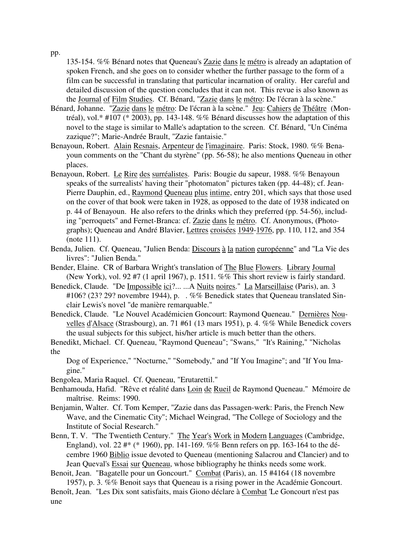pp.

135-154. %% Bénard notes that Queneau's Zazie dans le métro is already an adaptation of spoken French, and she goes on to consider whether the further passage to the form of a film can be successful in translating that particular incarnation of orality. Her careful and detailed discussion of the question concludes that it can not. This revue is also known as the Journal of Film Studies. Cf. Bénard, "Zazie dans le métro: De l'écran à la scène."

- Bénard, Johanne. "Zazie dans le métro: De l'écran à la scène." Jeu: Cahiers de Théâtre (Montréal), vol.\* #107 (\* 2003), pp. 143-148. %% Bénard discusses how the adaptation of this novel to the stage is similar to Malle's adaptation to the screen. Cf. Bénard, "Un Cinéma zazique?"; Marie-Andrée Brault, "Zazie fantaisie."
- Benayoun, Robert. Alain Resnais, Arpenteur de l'imaginaire. Paris: Stock, 1980. %% Benayoun comments on the "Chant du styrène" (pp. 56-58); he also mentions Queneau in other places.
- Benayoun, Robert. Le Rire des surréalistes. Paris: Bougie du sapeur, 1988. %% Benayoun speaks of the surrealists' having their "photomaton" pictures taken (pp. 44-48); cf. Jean-Pierre Dauphin, ed., Raymond Queneau plus intime, entry 201, which says that those used on the cover of that book were taken in 1928, as opposed to the date of 1938 indicated on p. 44 of Benayoun. He also refers to the drinks which they preferred (pp. 54-56), including "perroquets" and Fernet-Branca: cf. Zazie dans le métro. Cf. Anonymous, (Photographs); Queneau and André Blavier, Lettres croisées 1949-1976, pp. 110, 112, and 354 (note 111).
- Benda, Julien. Cf. Queneau, "Julien Benda: Discours à la nation européenne" and "La Vie des livres": "Julien Benda."
- Bender, Elaine. CR of Barbara Wright's translation of The Blue Flowers. Library Journal (New York), vol. 92 #7 (1 april 1967), p. 1511. %% This short review is fairly standard.
- Benedick, Claude. "De Impossible ici?... ...A Nuits noires." La Marseillaise (Paris), an. 3 #106? (23? 29? novembre 1944), p. . %% Benedick states that Queneau translated Sinclair Lewis's novel "de manière remarquable."
- Benedick, Claude. "Le Nouvel Académicien Goncourt: Raymond Queneau." Dernières Nouvelles d'Alsace (Strasbourg), an. 71 #61 (13 mars 1951), p. 4. %% While Benedick covers the usual subjects for this subject, his/her article is much better than the others.
- Benedikt, Michael. Cf. Queneau, "Raymond Queneau"; "Swans," "It's Raining," "Nicholas the

Dog of Experience," "Nocturne," "Somebody," and "If You Imagine"; and "If You Imagine."

Bengolea, Maria Raquel. Cf. Queneau, "Erutarettil."

- Benhamouda, Hafid. "Rêve et réalité dans Loin de Rueil de Raymond Queneau." Mémoire de maîtrise. Reims: 1990.
- Benjamin, Walter. Cf. Tom Kemper, "Zazie dans das Passagen-werk: Paris, the French New Wave, and the Cinematic City"; Michael Weingrad, "The College of Sociology and the Institute of Social Research."
- Benn, T. V. "The Twentieth Century." The Year's Work in Modern Languages (Cambridge, England), vol. 22 #\* (\* 1960), pp. 141-169. %% Benn refers on pp. 163-164 to the décembre 1960 Biblio issue devoted to Queneau (mentioning Salacrou and Clancier) and to Jean Queval's Essai sur Queneau, whose bibliography he thinks needs some work.

Benoit, Jean. "Bagatelle pour un Goncourt." Combat (Paris), an. 15 #4164 (18 novembre 1957), p. 3. %% Benoit says that Queneau is a rising power in the Académie Goncourt.

Benoît, Jean. "Les Dix sont satisfaits, mais Giono déclare à Combat 'Le Goncourt n'est pas une